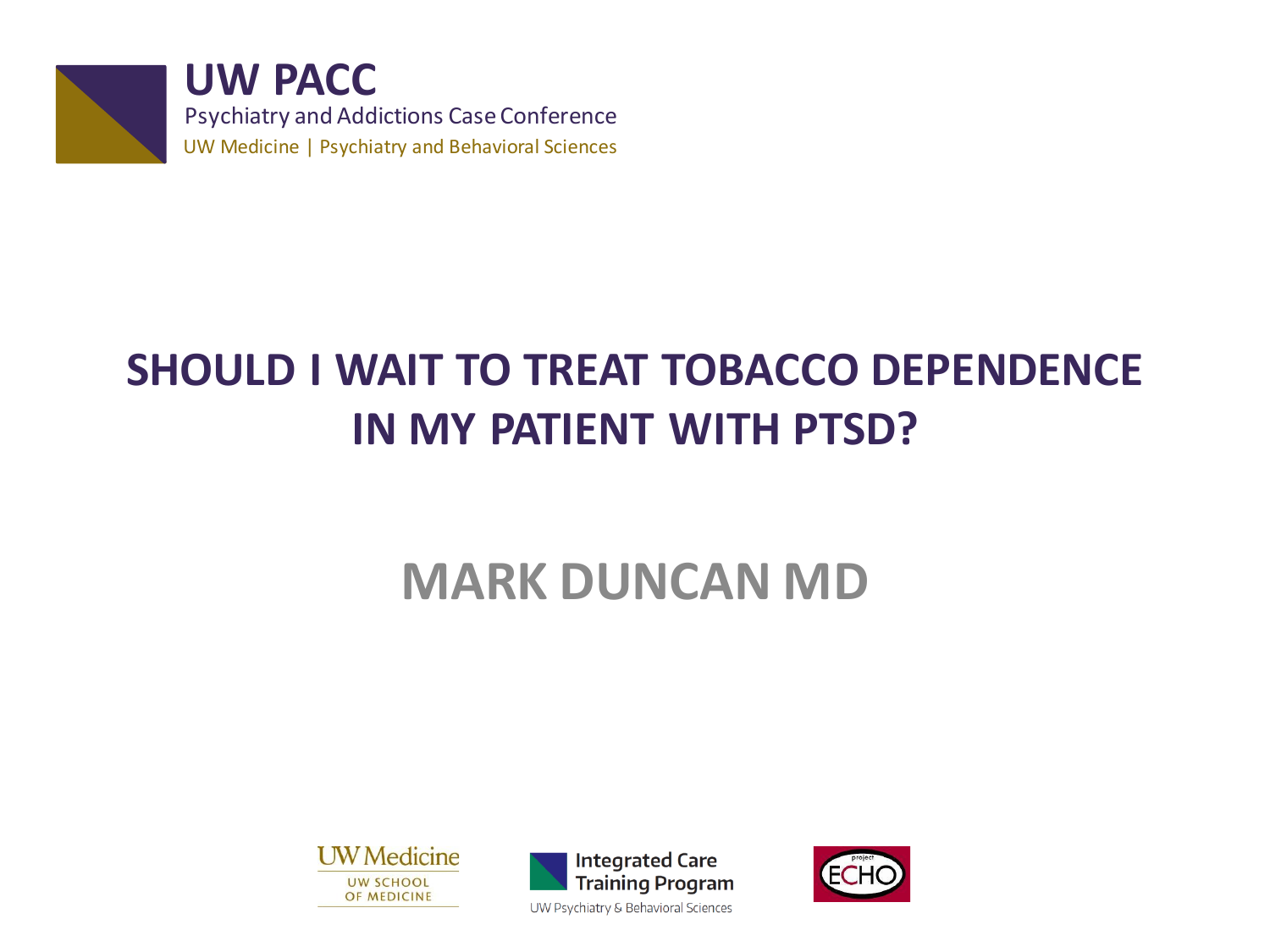

**UW PACC** Psychiatry and Addictions Case Conference UW Medicine | Psychiatry and Behavioral Sciences

## **SHOULD I WAIT TO TREAT TOBACCO DEPENDENCE IN MY PATIENT WITH PTSD?**

## **MARK DUNCAN MD**





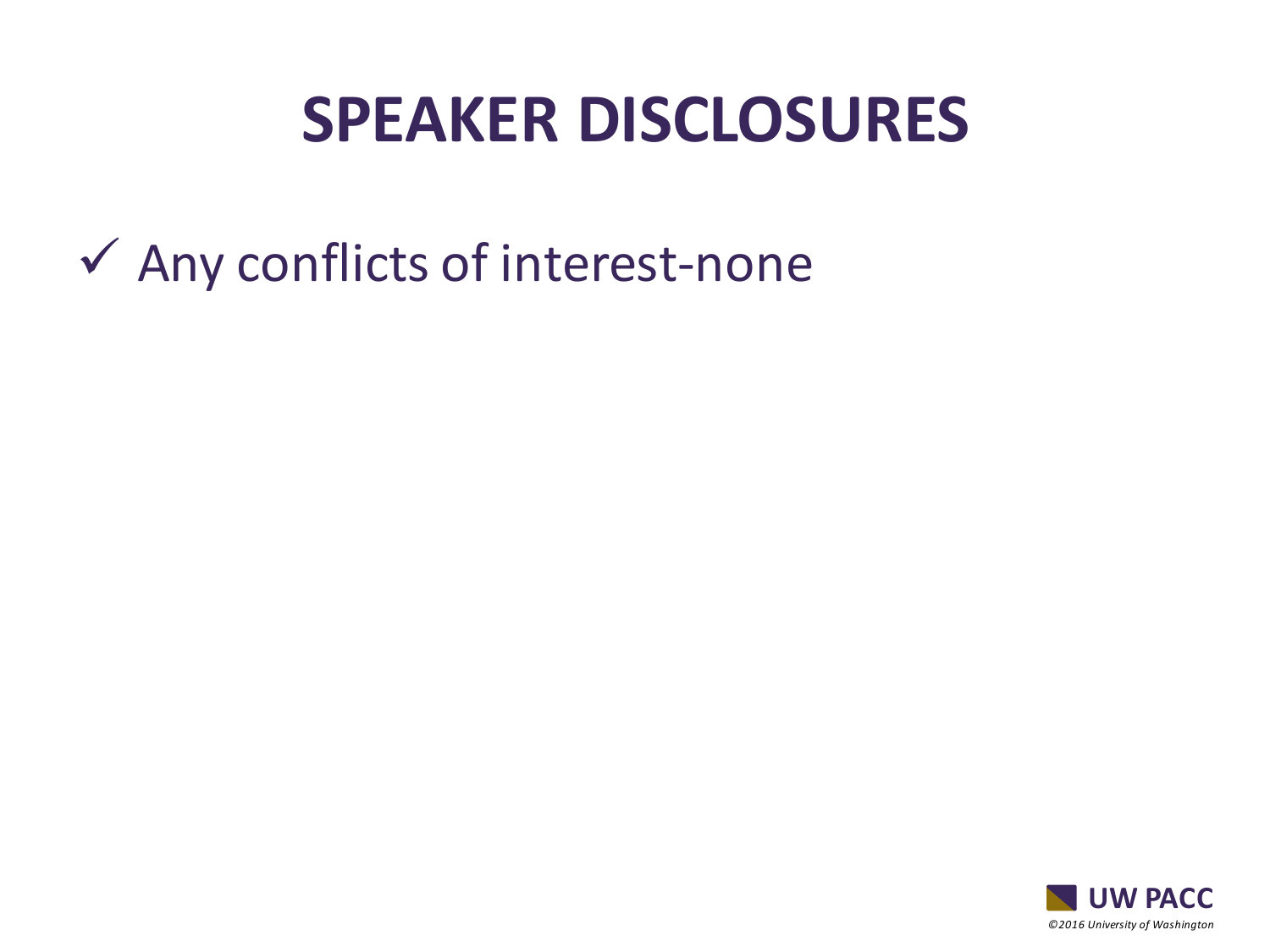## **SPEAKER DISCLOSURES**

 $\checkmark$  Any conflicts of interest-none

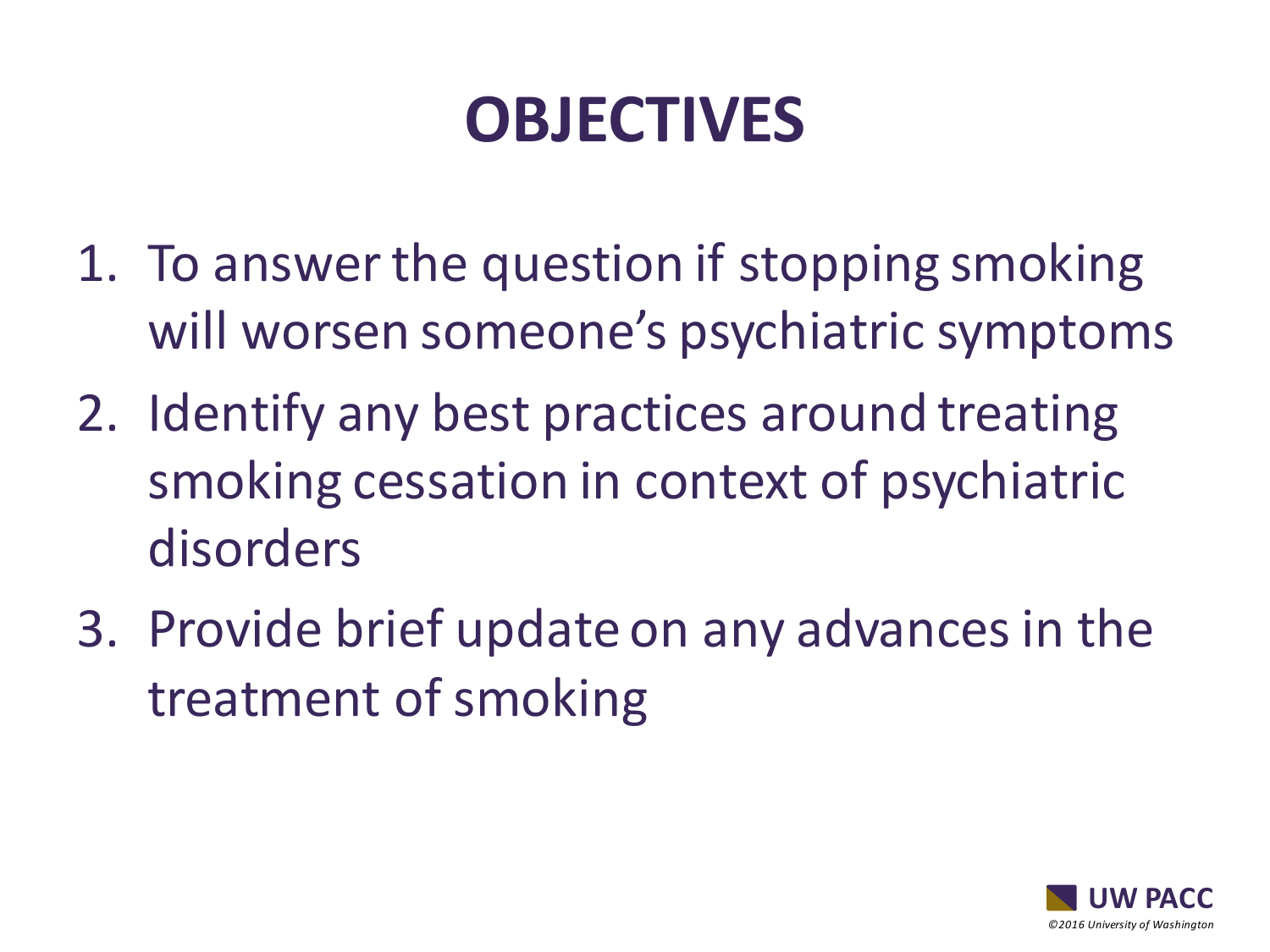# **OBJECTIVES**

- 1. To answer the question if stopping smoking will worsen someone's psychiatric symptoms
- 2. Identify any best practices around treating smoking cessation in context of psychiatric disorders
- 3. Provide brief update on any advances in the treatment of smoking

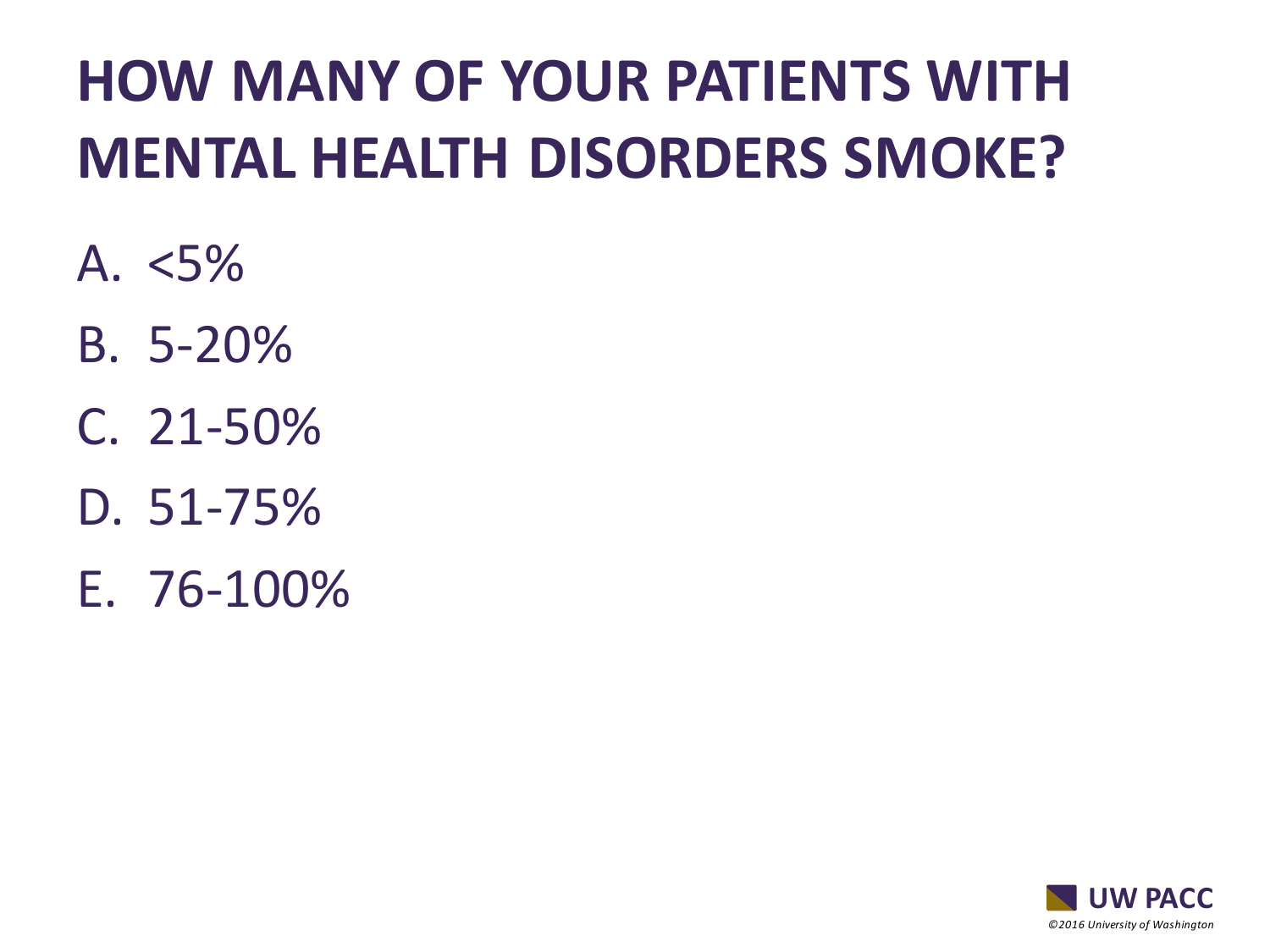## **HOW MANY OF YOUR PATIENTS WITH MENTAL HEALTH DISORDERS SMOKE?**

- A.  $< 5\%$
- B. 5-20%
- C. 21-50%
- D. 51-75%
- E. 76-100%

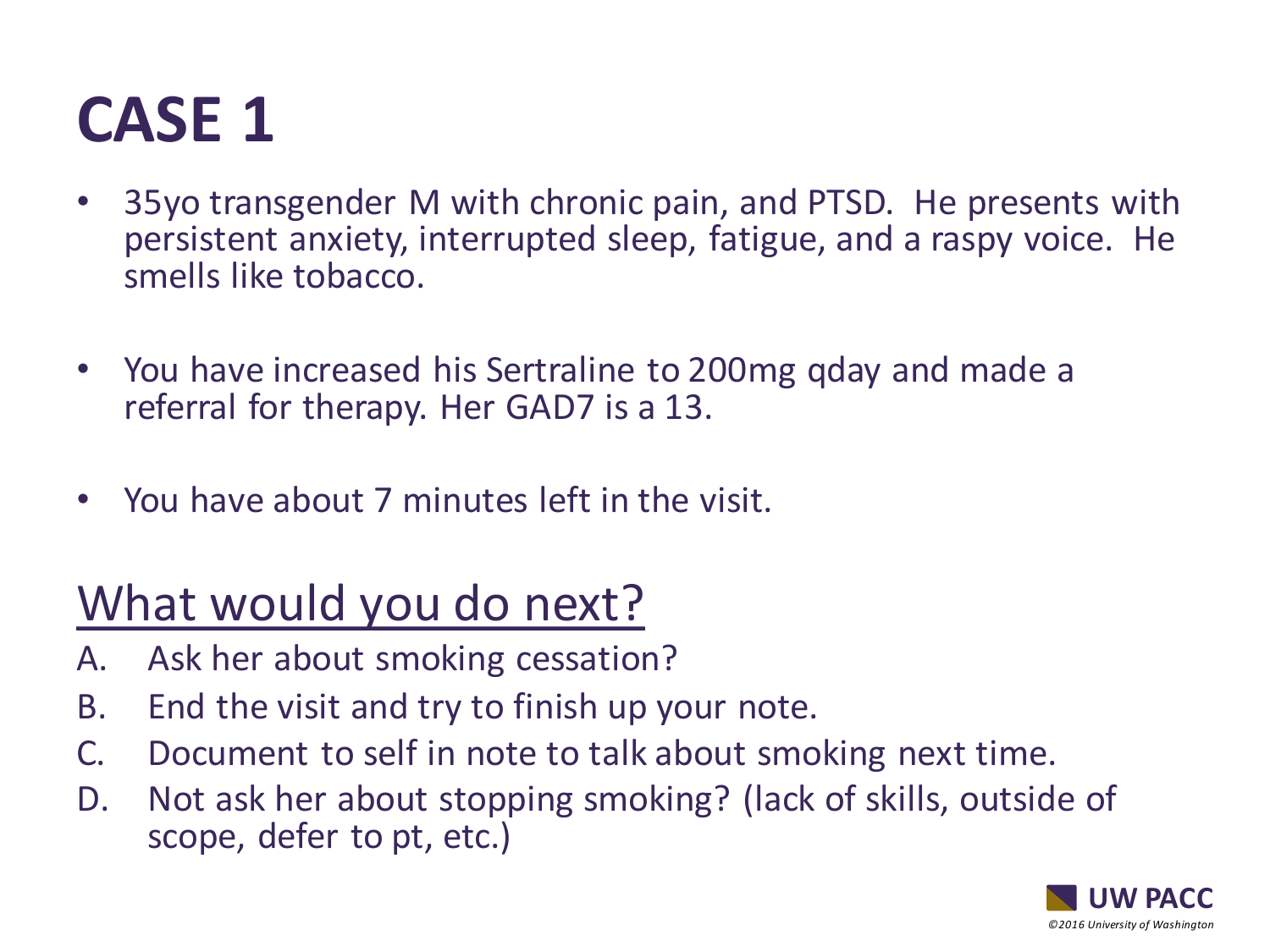## **CASE 1**

- 35yo transgender M with chronic pain, and PTSD. He presents with persistent anxiety, interrupted sleep, fatigue, and a raspy voice. He smells like tobacco.
- You have increased his Sertraline to 200mg qday and made a referral for therapy. Her GAD7 is a 13.
- You have about 7 minutes left in the visit.

## What would you do next?

- A. Ask her about smoking cessation?
- B. End the visit and try to finish up your note.
- C. Document to self in note to talk about smoking next time.
- D. Not ask her about stopping smoking? (lack of skills, outside of scope, defer to pt, etc.)

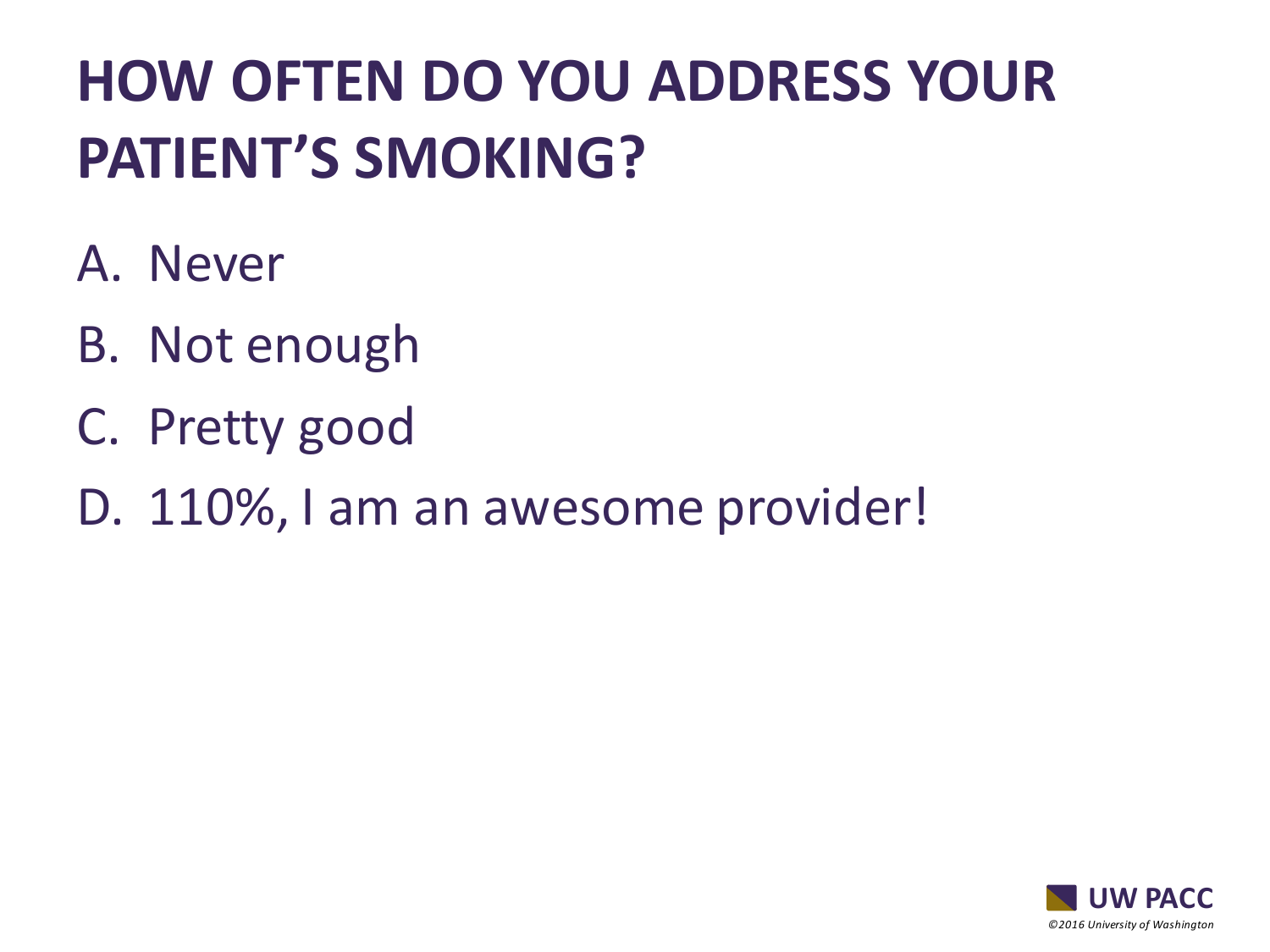## **HOW OFTEN DO YOU ADDRESS YOUR PATIENT'S SMOKING?**

- A. Never
- B. Not enough
- C. Pretty good
- D. 110%, I am an awesome provider!

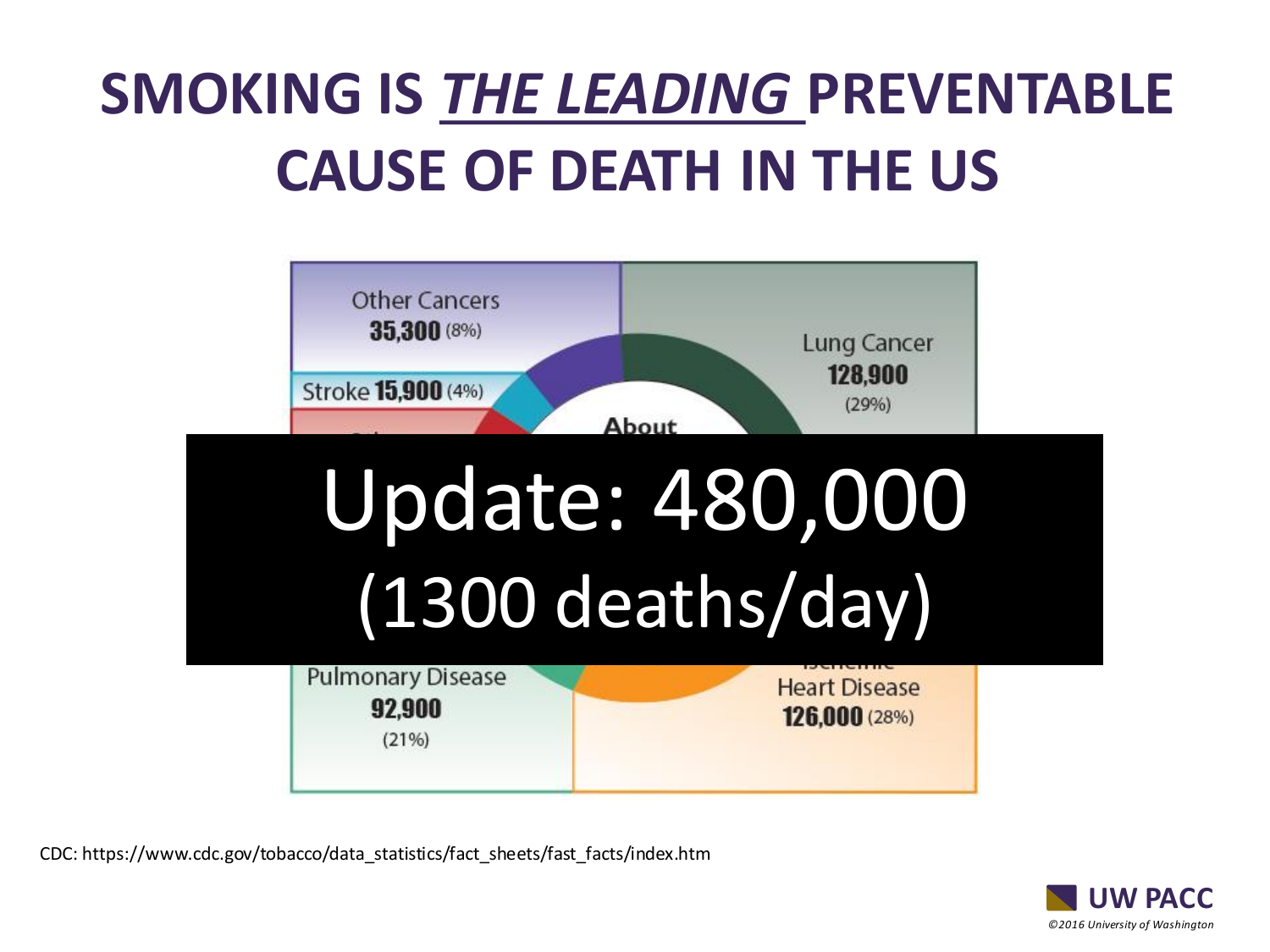## **SMOKING IS** *THE LEADING* **PREVENTABLE CAUSE OF DEATH IN THE US**



CDC: https://www.cdc.gov/tobacco/data\_statistics/fact\_sheets/fast\_facts/index.htm

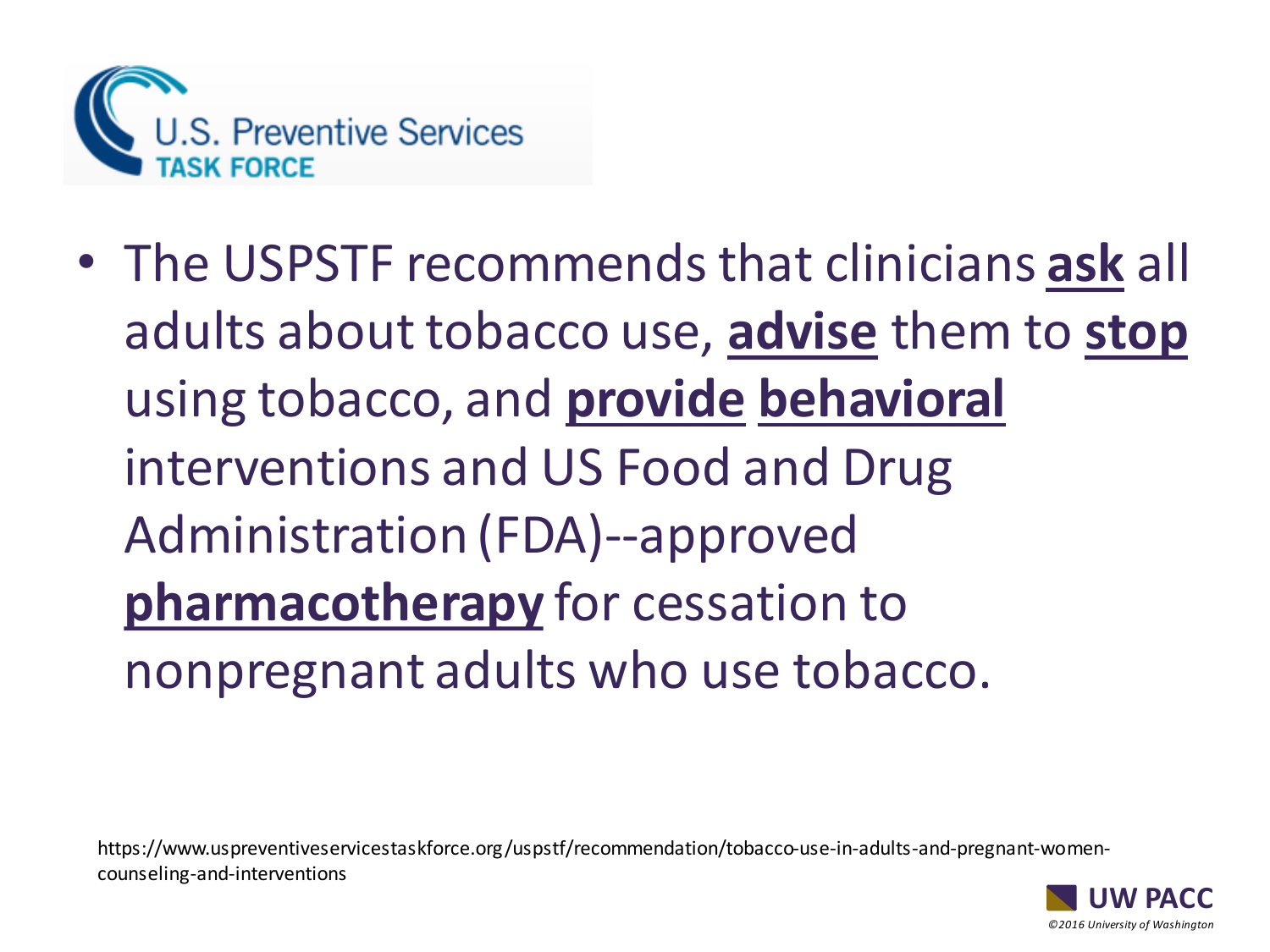

• The USPSTF recommends that clinicians **ask** all adults about tobacco use, **advise** them to **stop** using tobacco, and **provide behavioral** interventions and US Food and Drug Administration (FDA)--approved **pharmacotherapy** for cessation to nonpregnant adults who use tobacco.

https://www.uspreventiveservicestaskforce.org/uspstf/recommendation/tobacco-use-in-adults-and-pregnant-womencounseling-and-interventions

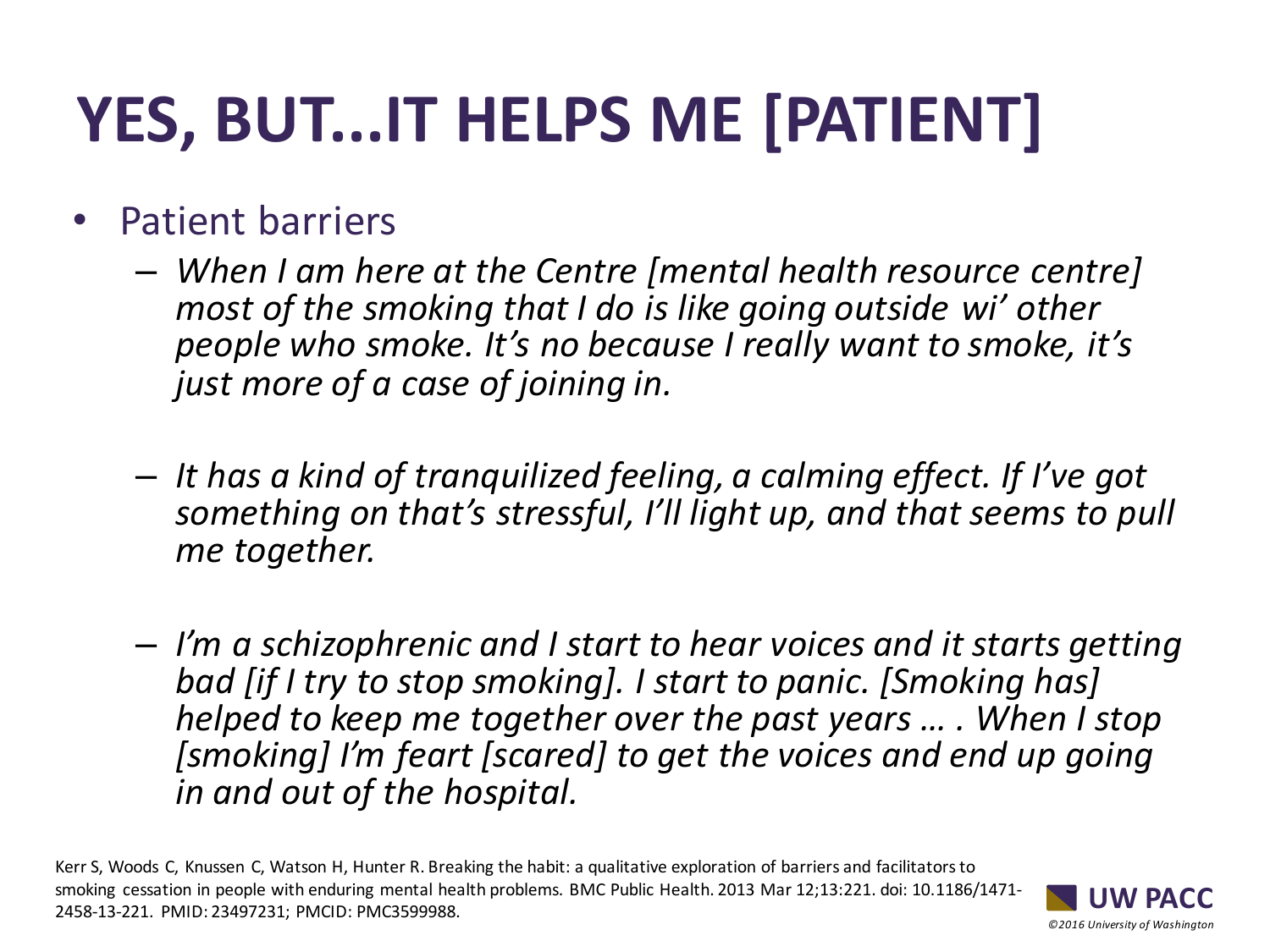# **YES, BUT...IT HELPS ME [PATIENT]**

- Patient barriers
	- *When I am here at the Centre [mental health resource centre] most of the smoking that I do is like going outside wi' other people who smoke. It's no because I really want to smoke, it's just more of a case of joining in.*
	- *It has a kind of tranquilized feeling, a calming effect. If I've got something on that's stressful, I'll light up, and that seems to pull me together.*
	- *I'm a schizophrenic and I start to hear voices and it starts getting bad [if I try to stop smoking]. I start to panic. [Smoking has] helped to keep me together over the past years … . When I stop [smoking] I'm feart [scared] to get the voices and end up going in and out of the hospital.*

Kerr S, Woods C, Knussen C, Watson H, Hunter R. Breaking the habit: a qualitative exploration of barriers and facilitators to smoking cessation in people with enduring mental health problems. BMC Public Health. 2013 Mar 12;13:221. doi: 10.1186/1471- 2458-13-221. PMID: 23497231; PMCID: PMC3599988.

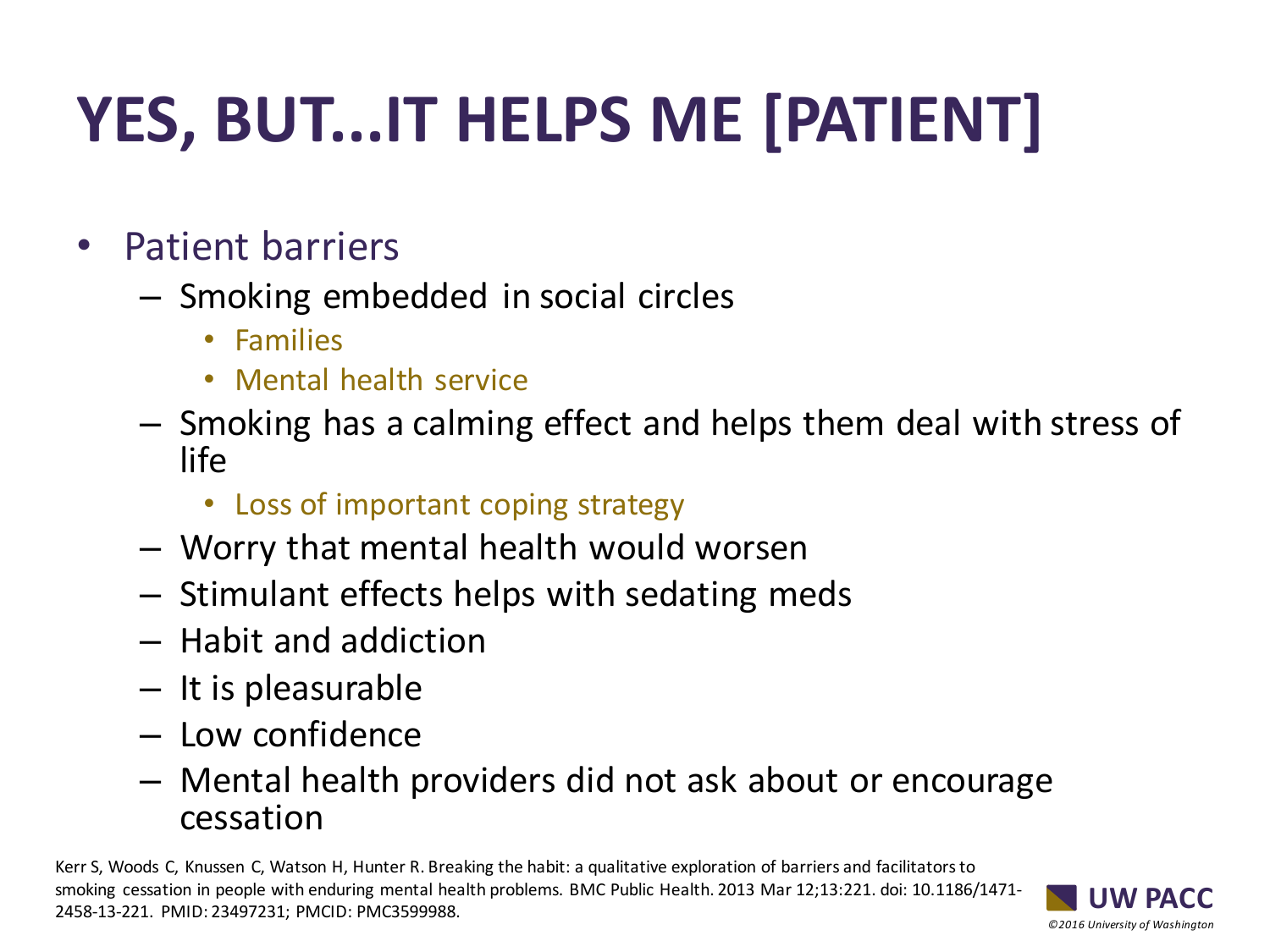# **YES, BUT...IT HELPS ME [PATIENT]**

- Patient barriers
	- Smoking embedded in social circles
		- Families
		- Mental health service
	- Smoking has a calming effect and helps them deal with stress of life
		- Loss of important coping strategy
	- Worry that mental health would worsen
	- Stimulant effects helps with sedating meds
	- Habit and addiction
	- It is pleasurable
	- Low confidence
	- Mental health providers did not ask about or encourage cessation

Kerr S, Woods C, Knussen C, Watson H, Hunter R. Breaking the habit: a qualitative exploration of barriers and facilitators to smoking cessation in people with enduring mental health problems. BMC Public Health. 2013 Mar 12;13:221. doi: 10.1186/1471- 2458-13-221. PMID: 23497231; PMCID: PMC3599988.

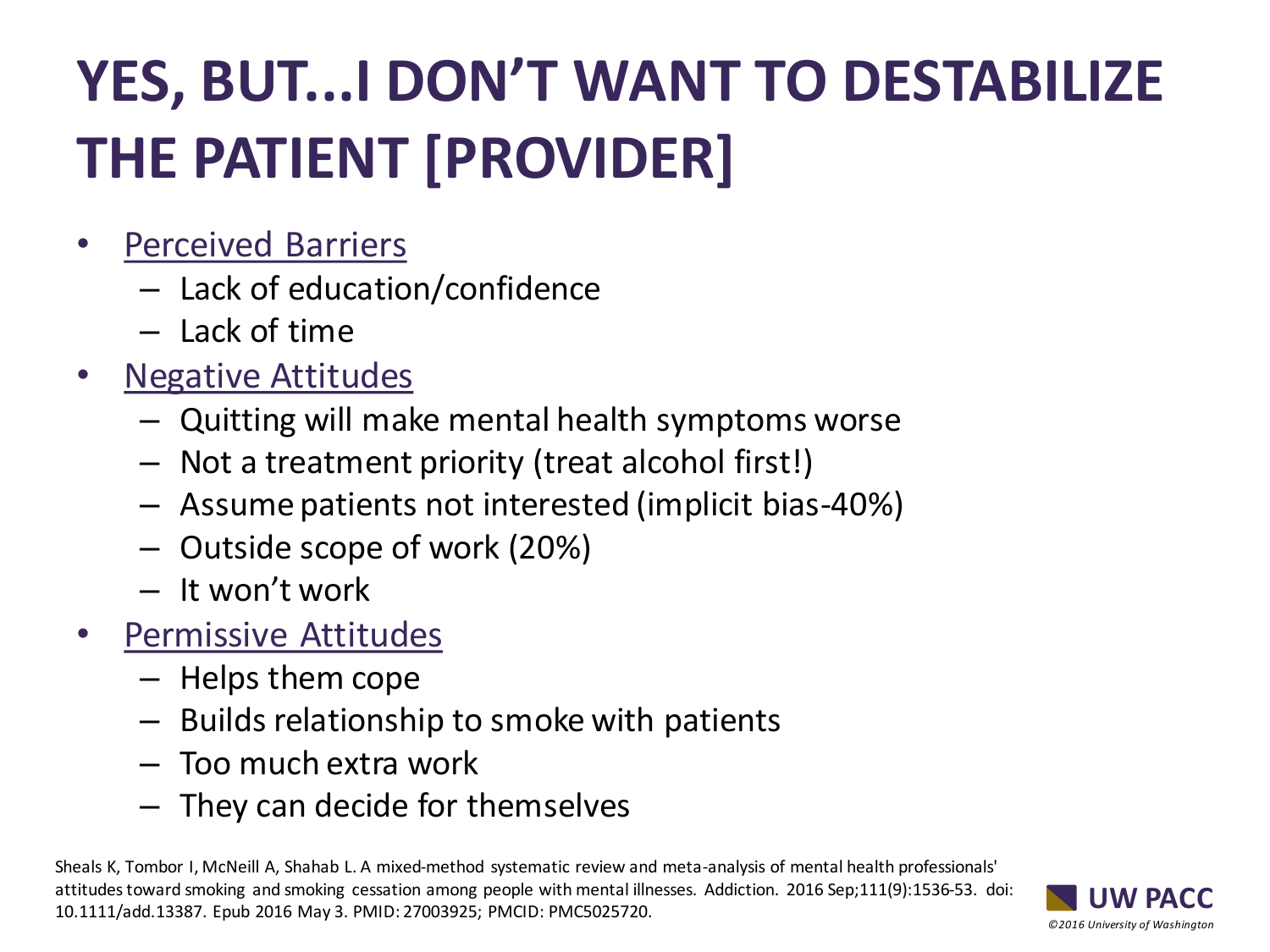# **YES, BUT...I DON'T WANT TO DESTABILIZE THE PATIENT [PROVIDER]**

- Perceived Barriers
	- Lack of education/confidence
	- Lack of time
- Negative Attitudes
	- Quitting will make mental health symptoms worse
	- Not a treatment priority (treat alcohol first!)
	- Assume patients not interested (implicit bias-40%)
	- Outside scope of work (20%)
	- It won't work
- Permissive Attitudes
	- Helps them cope
	- Builds relationship to smoke with patients
	- Too much extra work
	- They can decide for themselves

Sheals K, Tombor I, McNeill A, Shahab L. A mixed-method systematic review and meta-analysis of mental health professionals' attitudes toward smoking and smoking cessation among people with mental illnesses. Addiction. 2016 Sep;111(9):1536-53. doi: 10.1111/add.13387. Epub 2016 May 3. PMID: 27003925; PMCID: PMC5025720.

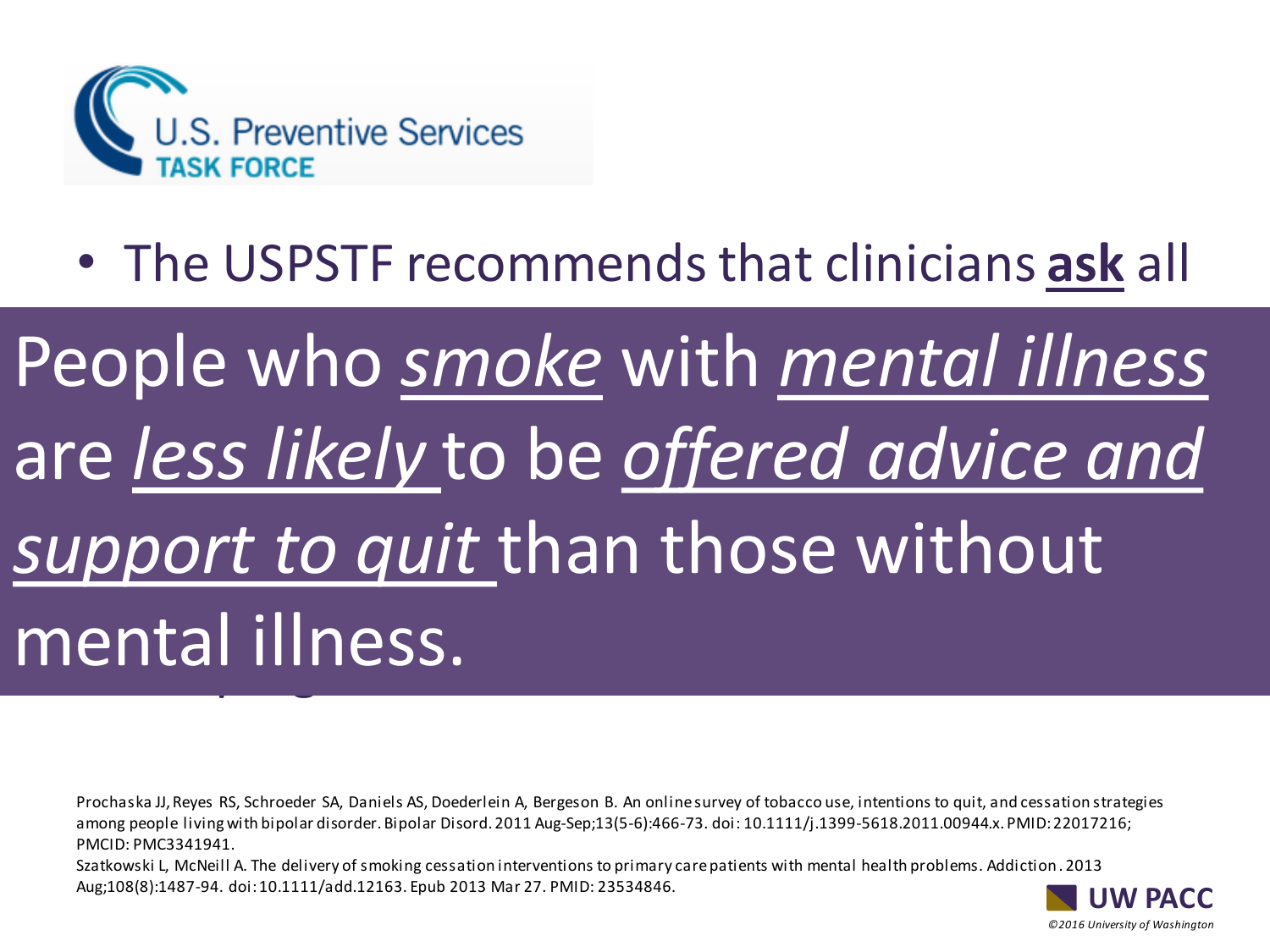

## • The USPSTF recommends that clinicians **ask** all

## adoutho cmake with mental illnes using tobacco, and **provide behavioral** are *less likely* to be *offered advice and* support to quit than those without **pharmacotherapy** for cessarion to the contract of the contract of the contract of the contract of the contract of the contract of the contract of the contract of the contract of the contract of the contract of the contrac ndan miness.<br>The use to use to use to use to use to use to use to use the use of the use of the use of the use of the use o People who *smoke* with *mental illness*  mental illness.

Prochaska JJ, Reyes RS, Schroeder SA, Daniels AS, Doederlein A, Bergeson B. An online survey of tobacco use, intentions to quit, and cessation strategies among people living with bipolar disorder. Bipolar Disord. 2011 Aug-Sep;13(5-6):466-73. doi: 10.1111/j.1399-5618.2011.00944.x. PMID: 22017216; PMCID: PMC3341941.

Szatkowski L, McNeill A. The delivery of smoking cessation interventions to primary care patients with mental health problems. Addiction . 2013 Aug;108(8):1487-94. doi: 10.1111/add.12163. Epub 2013 Mar 27. PMID: 23534846.

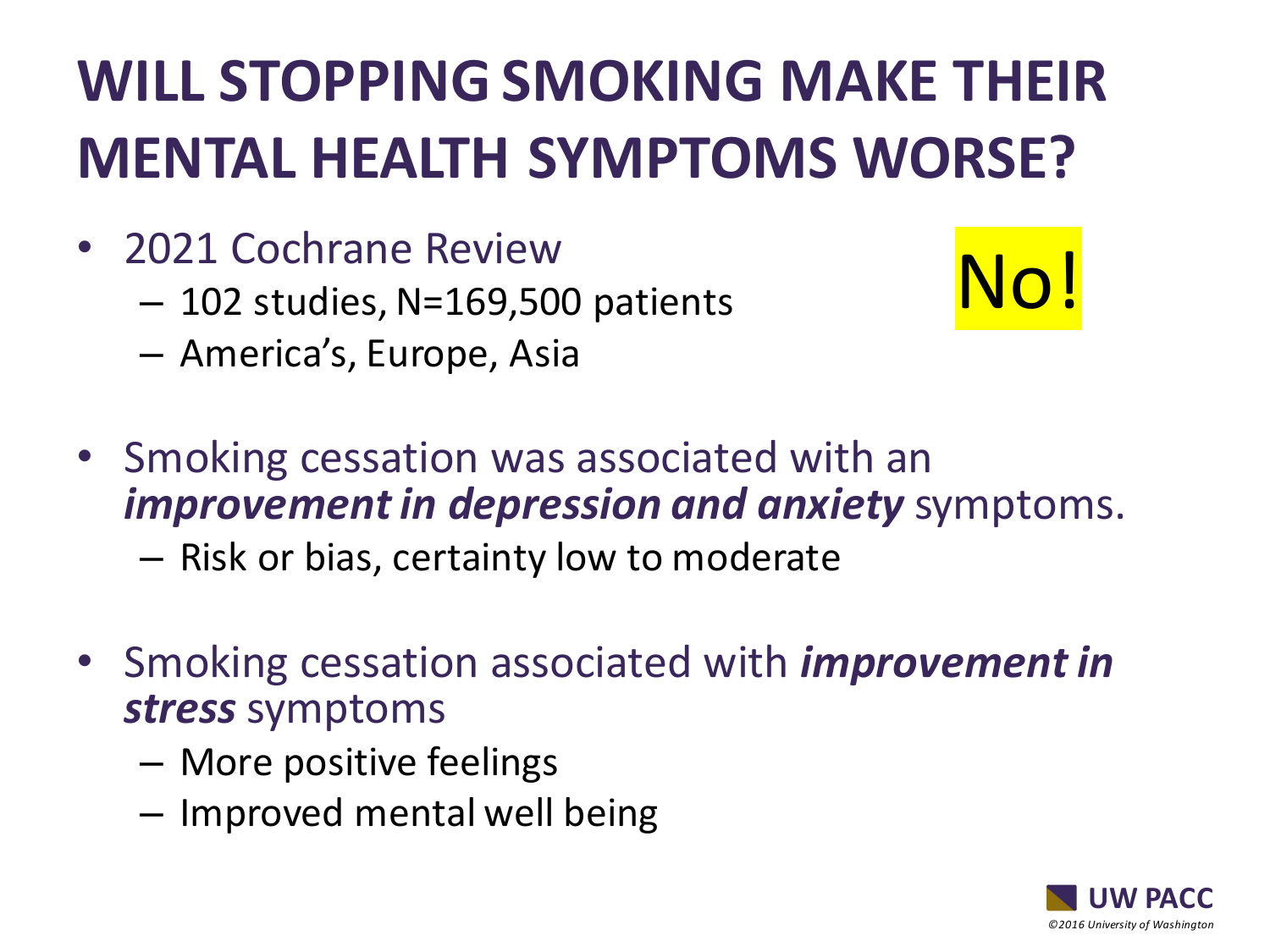## **WILL STOPPING SMOKING MAKE THEIR MENTAL HEALTH SYMPTOMS WORSE?**

- 2021 Cochrane Review
	- 102 studies, N=169,500 patients
	- America's, Europe, Asia



- Smoking cessation was associated with an *improvement in depression and anxiety* symptoms.
	- Risk or bias, certainty low to moderate
- Smoking cessation associated with *improvement in stress* symptoms
	- More positive feelings
	- Improved mental well being

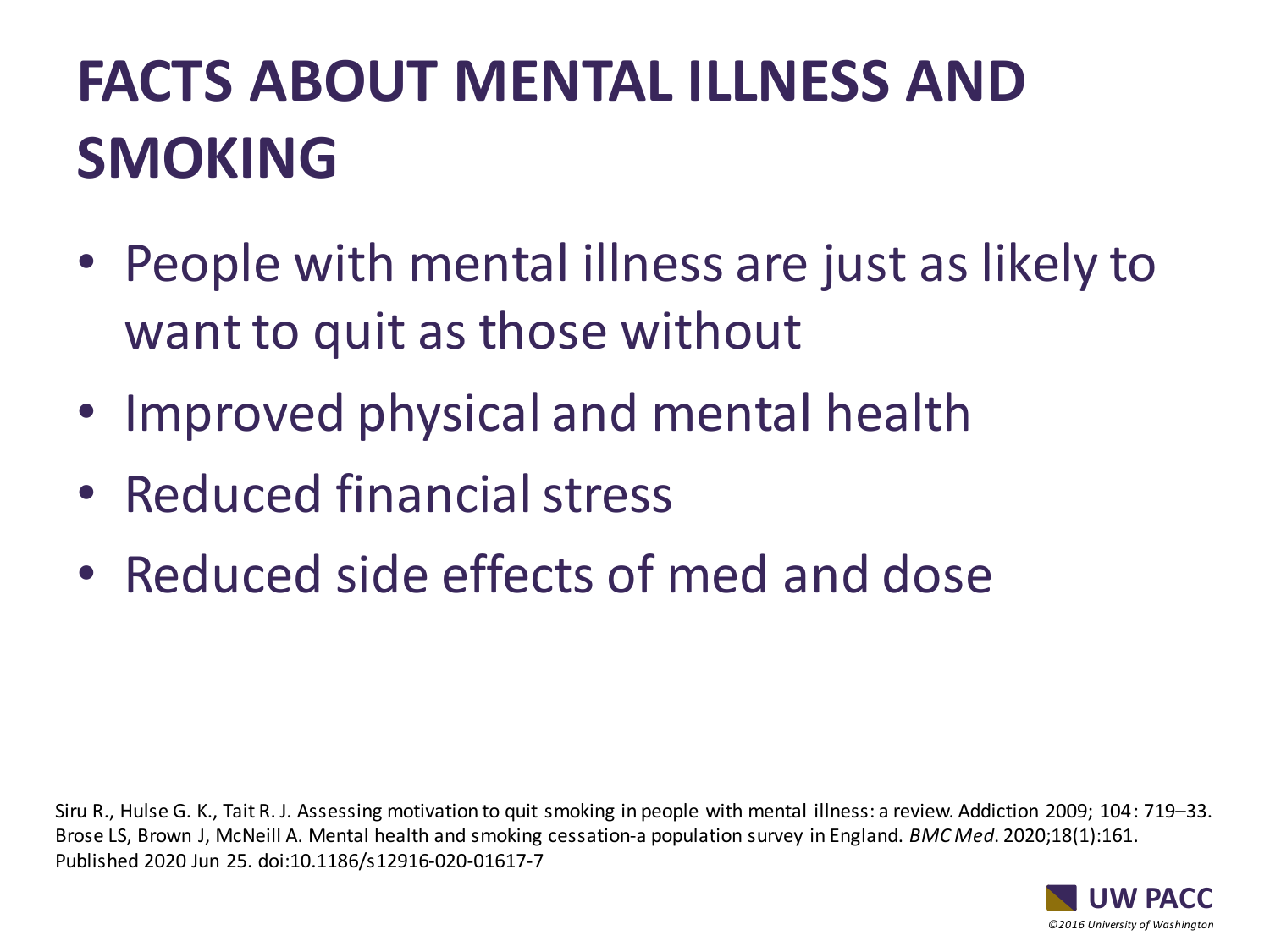## **FACTS ABOUT MENTAL ILLNESS AND SMOKING**

- People with mental illness are just as likely to want to quit as those without
- Improved physical and mental health
- Reduced financial stress
- Reduced side effects of med and dose

Siru R., Hulse G. K., Tait R. J. Assessing motivation to quit smoking in people with mental illness: a review. Addiction 2009; 104: 719–33. Brose LS, Brown J, McNeill A. Mental health and smoking cessation-a population survey in England. *BMC Med*. 2020;18(1):161. Published 2020 Jun 25. doi:10.1186/s12916-020-01617-7

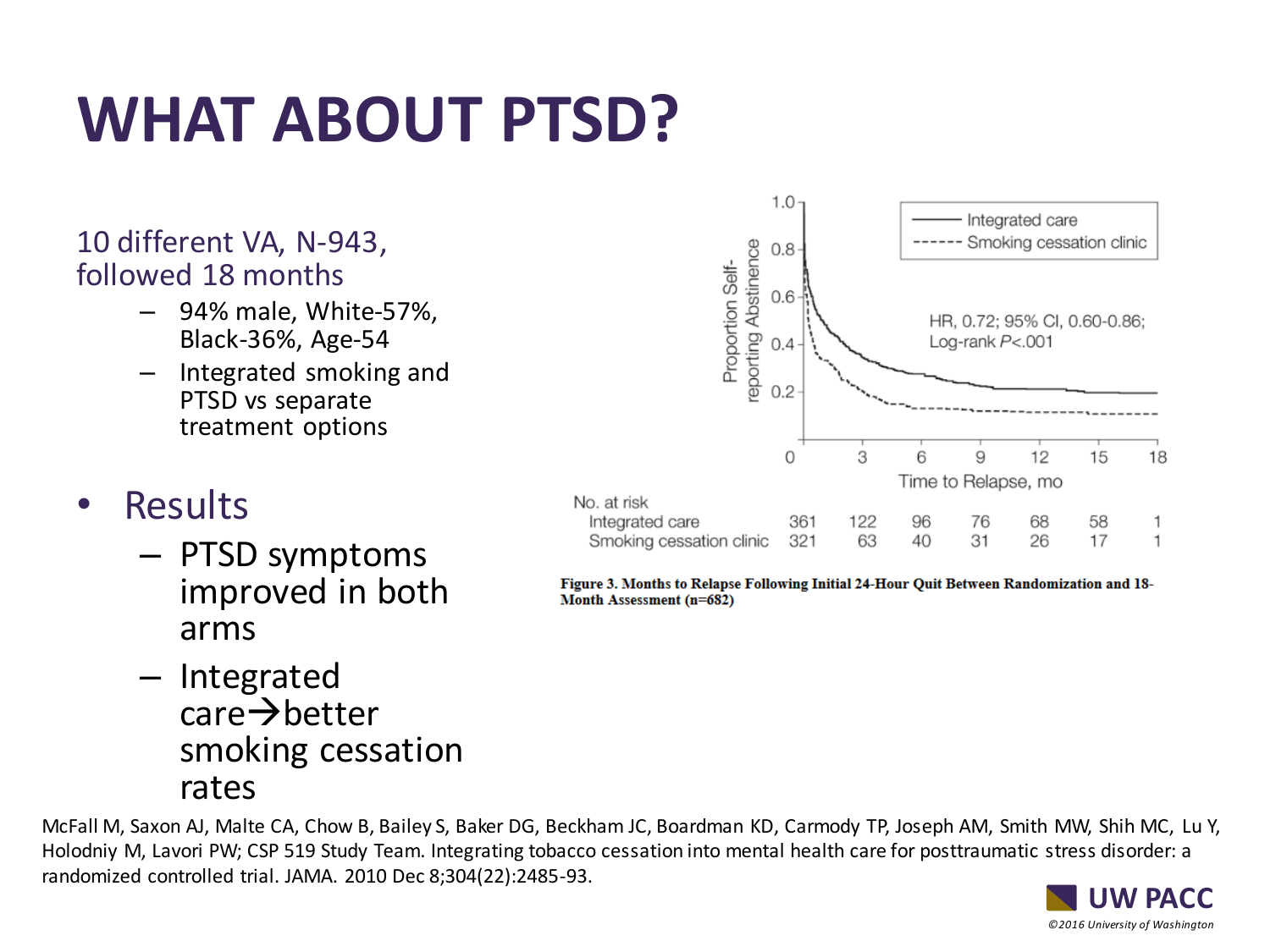# **WHAT ABOUT PTSD?**

### 10 different VA, N-943, followed 18 months

- 94% male, White-57%, Black-36%, Age-54
- Integrated smoking and PTSD vs separate treatment options

### **Results**

– PTSD symptoms improved in both arms







Figure 3. Months to Relapse Following Initial 24-Hour Quit Between Randomization and 18-Month Assessment (n=682)

*©2016 University of Washington*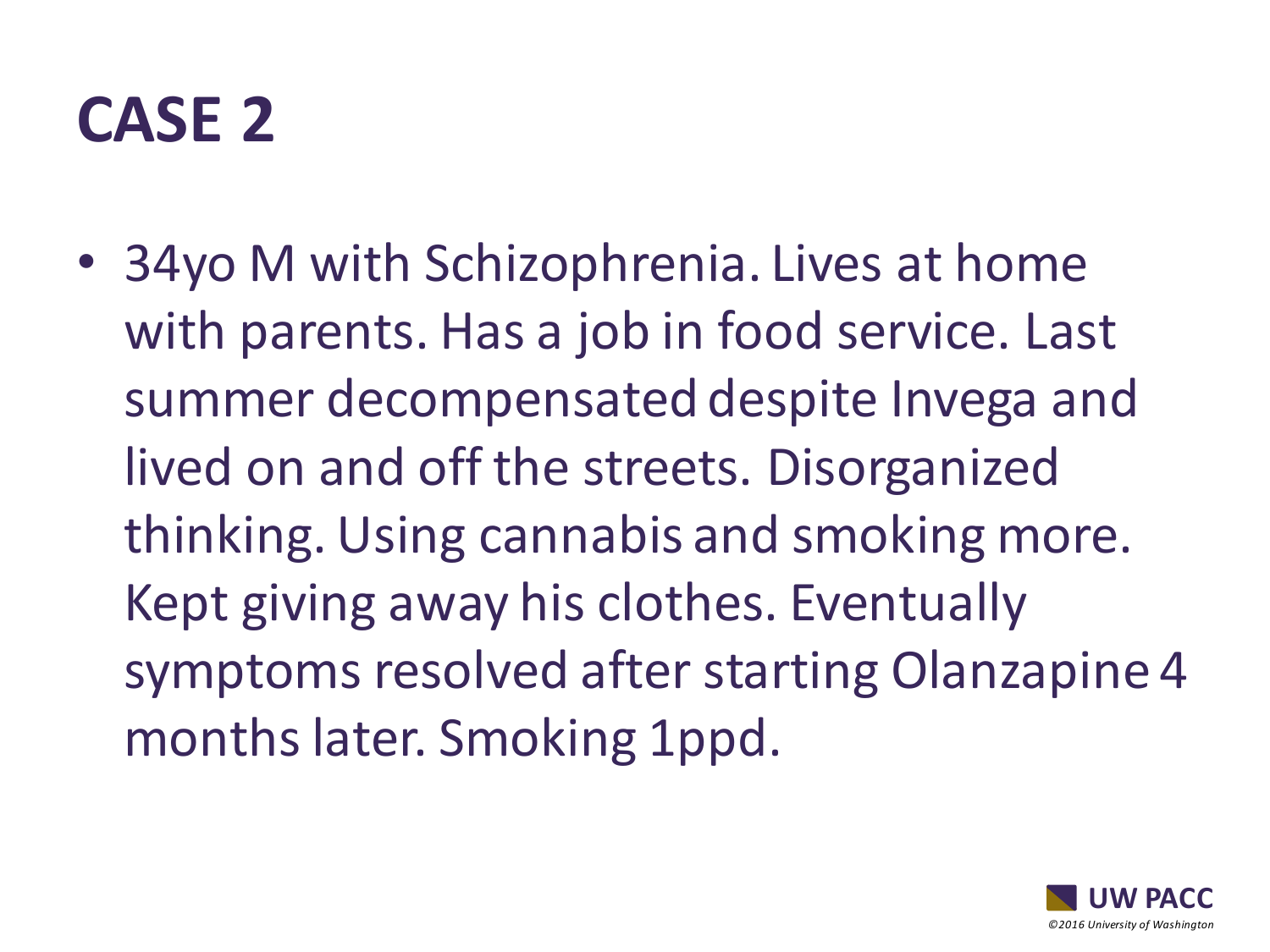## **CASE 2**

• 34yo M with Schizophrenia. Lives at home with parents. Has a job in food service. Last summer decompensated despite Invega and lived on and off the streets. Disorganized thinking. Using cannabis and smoking more. Kept giving away his clothes. Eventually symptoms resolved after starting Olanzapine 4 months later. Smoking 1ppd.

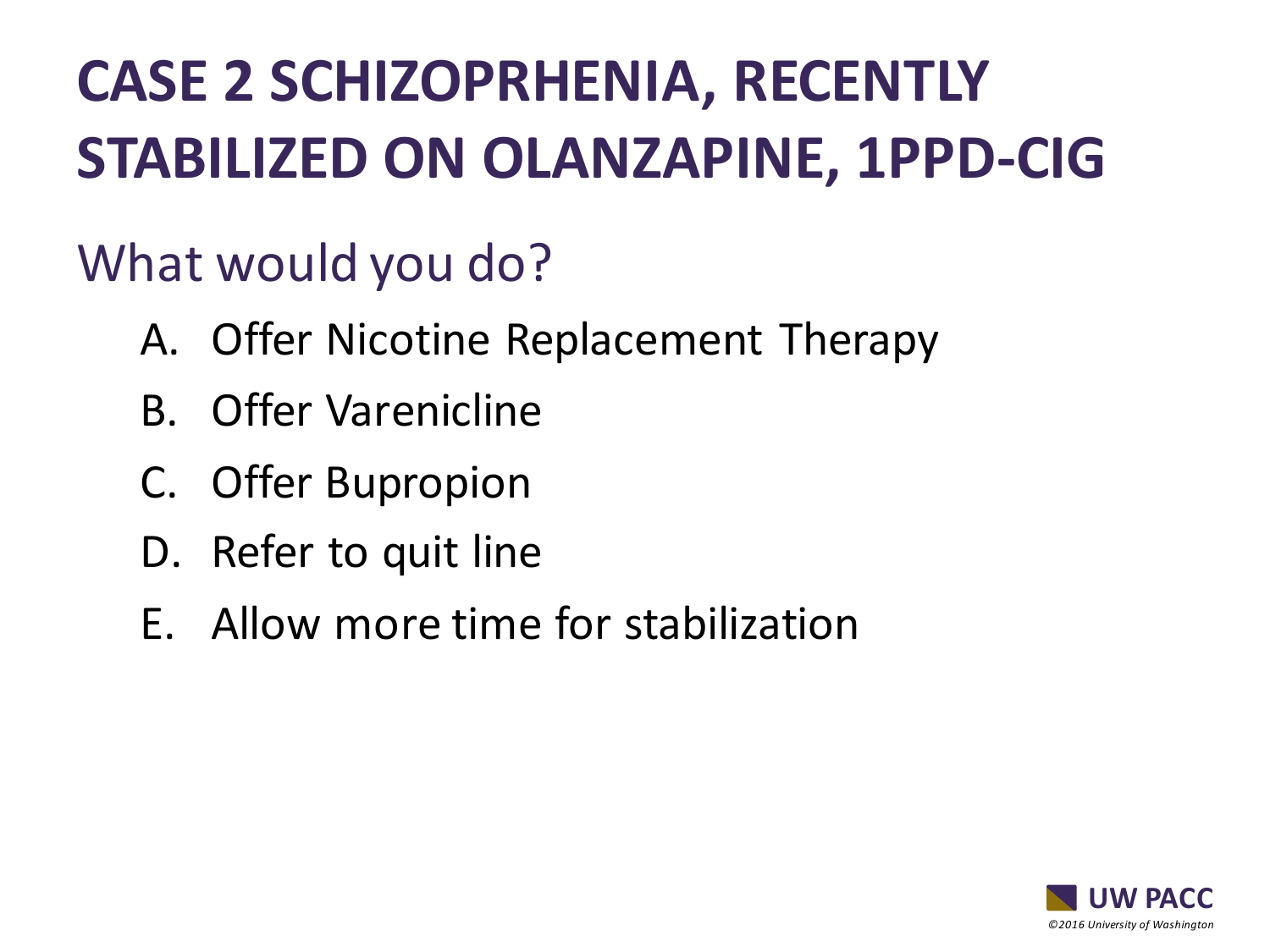# **CASE 2 SCHIZOPRHENIA, RECENTLY STABILIZED ON OLANZAPINE, 1PPD-CIG**

## What would you do?

- A. Offer Nicotine Replacement Therapy
- B. Offer Varenicline
- C. Offer Bupropion
- D. Refer to quit line
- E. Allow more time for stabilization

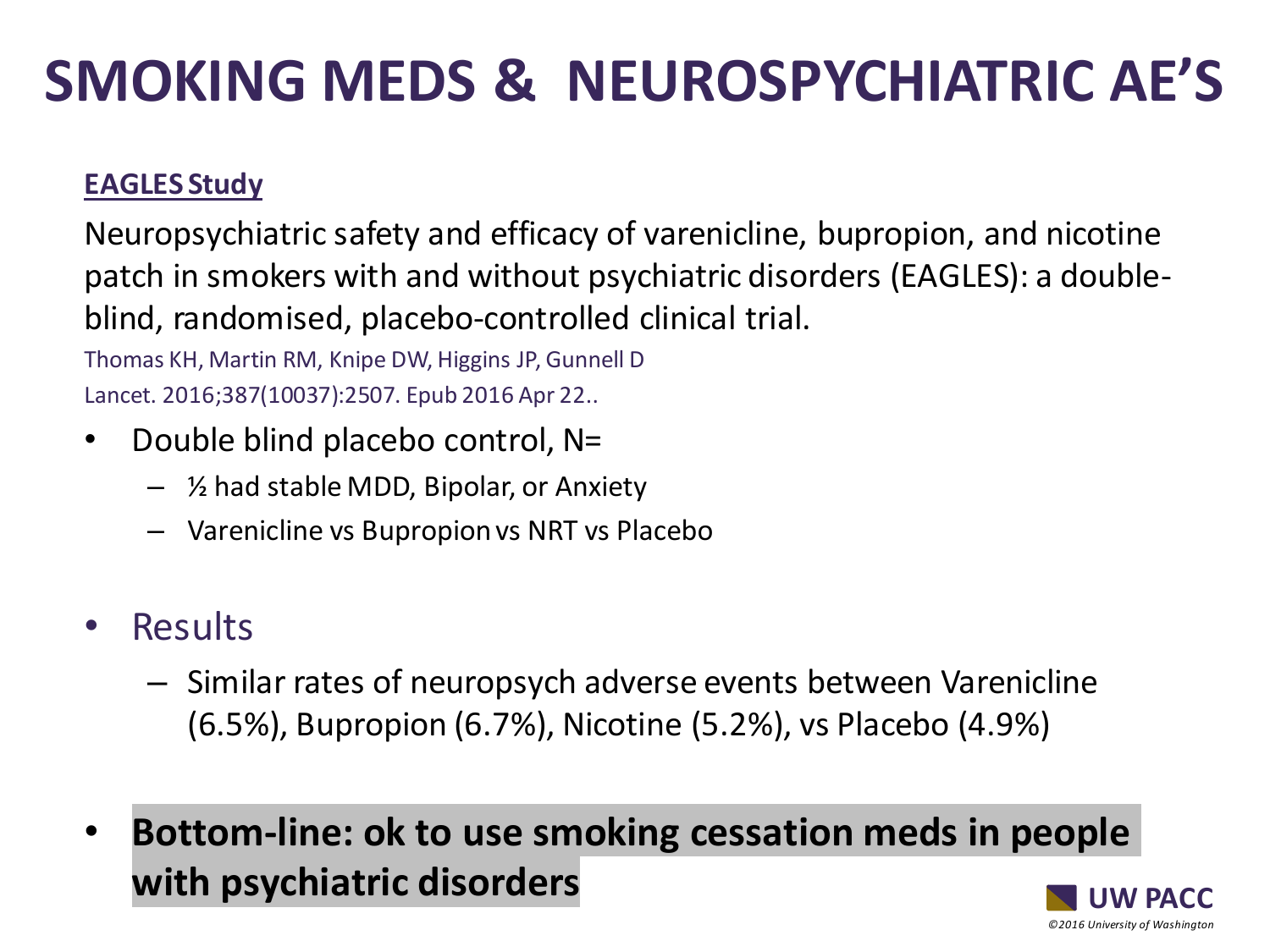## **SMOKING MEDS & NEUROSPYCHIATRIC AE'S**

### **EAGLES Study**

Neuropsychiatric safety and efficacy of varenicline, bupropion, and nicotine patch in smokers with and without psychiatric disorders (EAGLES): a doubleblind, randomised, placebo-controlled clinical trial.

Thomas KH, Martin RM, Knipe DW, Higgins JP, Gunnell D Lancet. 2016;387(10037):2507. Epub 2016 Apr 22..

- Double blind placebo control, N=
	- ½ had stable MDD, Bipolar, or Anxiety
	- Varenicline vs Bupropion vs NRT vs Placebo
- **Results** 
	- Similar rates of neuropsych adverse events between Varenicline (6.5%), Bupropion (6.7%), Nicotine (5.2%), vs Placebo (4.9%)
- **Bottom-line: ok to use smoking cessation meds in people with psychiatric disorders**

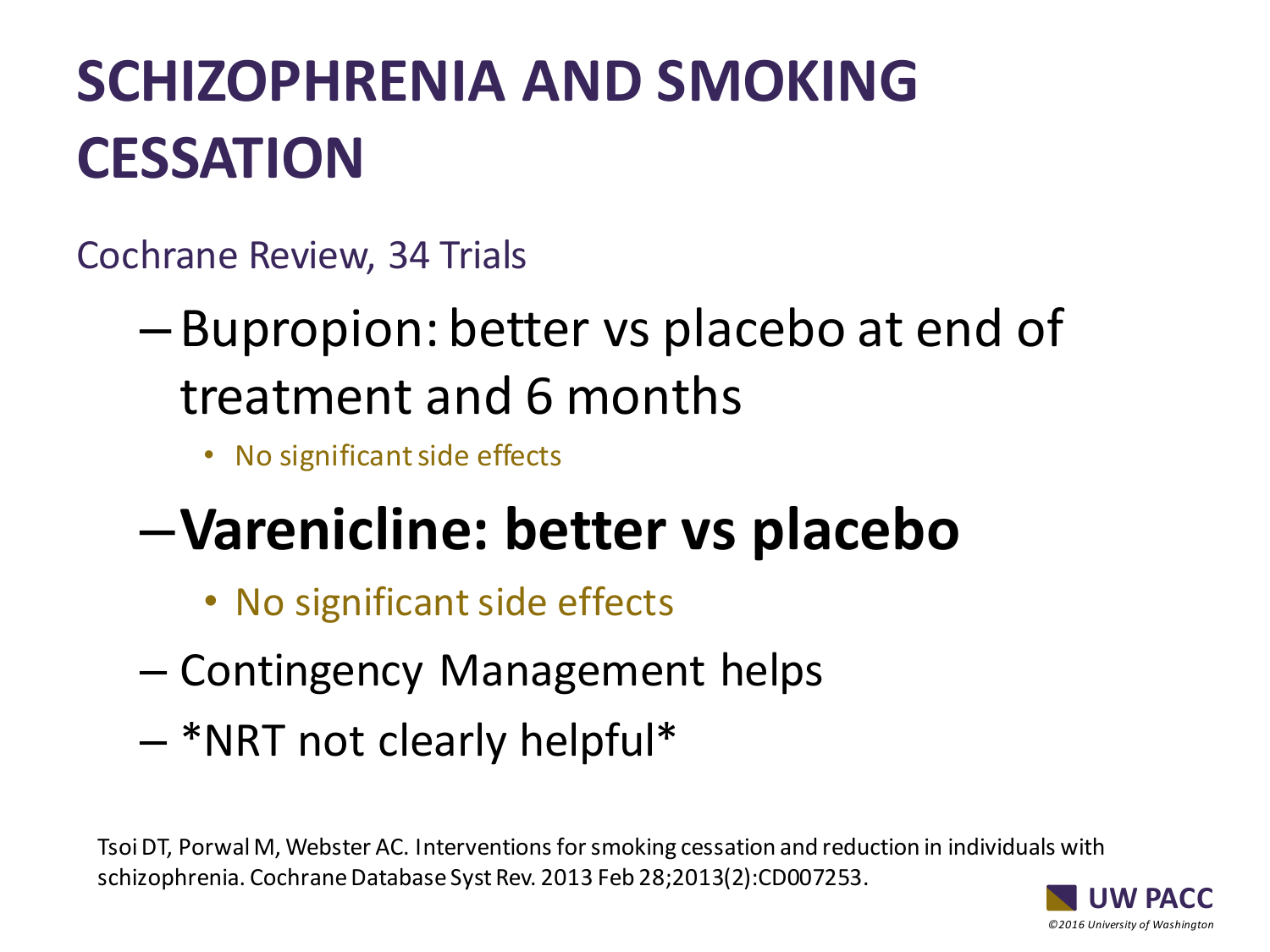## **SCHIZOPHRENIA AND SMOKING CESSATION**

Cochrane Review, 34 Trials

- Bupropion: better vs placebo at end of treatment and 6 months
	- No significant side effects

## –**Varenicline: better vs placebo**

- No significant side effects
- Contingency Management helps
- \*NRT not clearly helpful\*

Tsoi DT, Porwal M, Webster AC. Interventions for smoking cessation and reduction in individuals with schizophrenia. Cochrane Database Syst Rev. 2013 Feb 28;2013(2):CD007253.

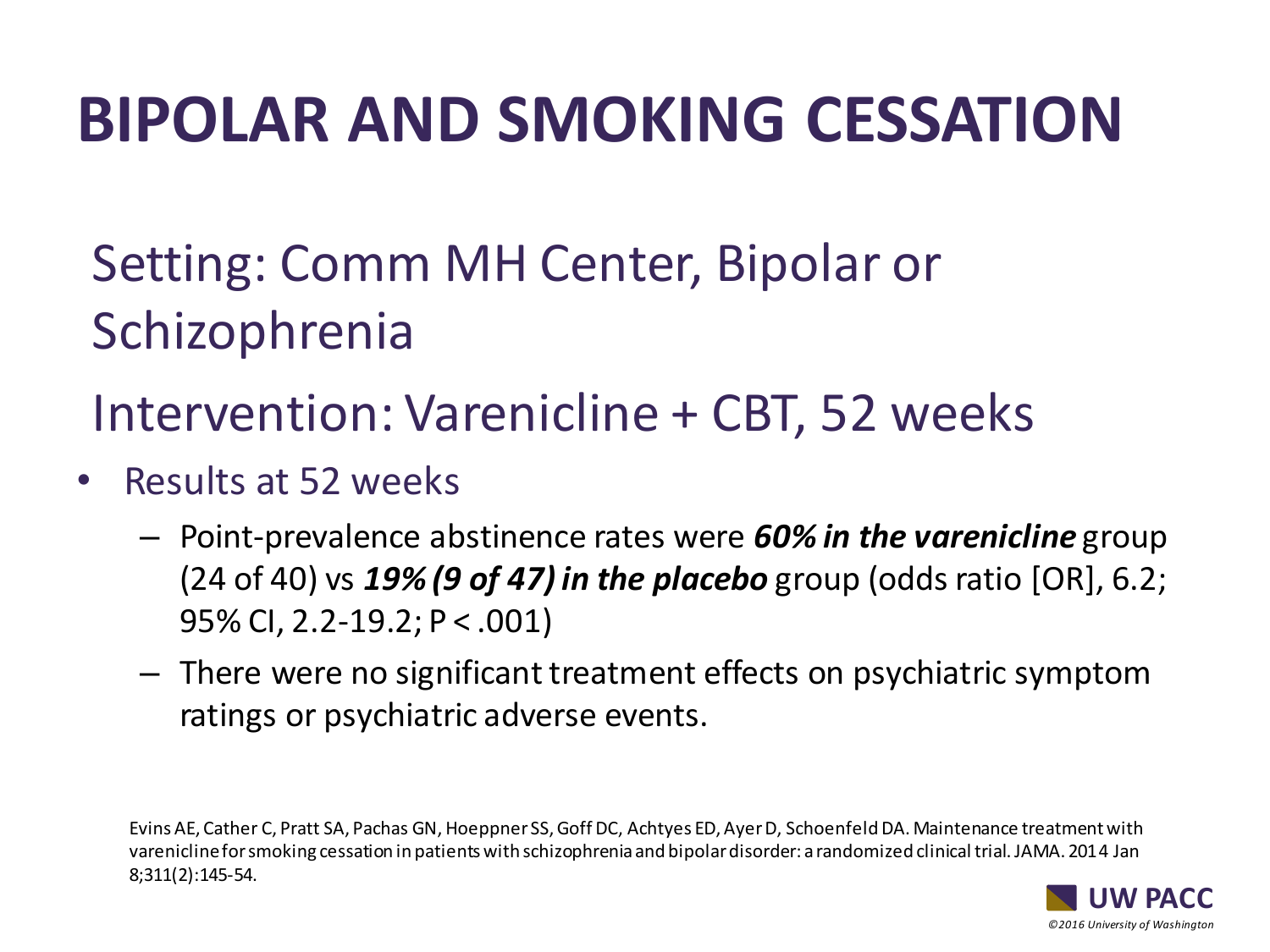# **BIPOLAR AND SMOKING CESSATION**

Setting: Comm MH Center, Bipolar or Schizophrenia

Intervention: Varenicline + CBT, 52 weeks

- Results at 52 weeks
	- Point-prevalence abstinence rates were *60% in the varenicline* group (24 of 40) vs *19% (9 of 47) in the placebo* group (odds ratio [OR], 6.2; 95% CI, 2.2-19.2; P < .001)
	- There were no significant treatment effects on psychiatric symptom ratings or psychiatric adverse events.

Evins AE, Cather C, Pratt SA, Pachas GN, HoeppnerSS, Goff DC, Achtyes ED, Ayer D, Schoenfeld DA. Maintenance treatment with varenicline for smoking cessation in patients with schizophrenia and bipolar disorder: a randomized clinical trial. JAMA. 2014 Jan 8;311(2):145-54.

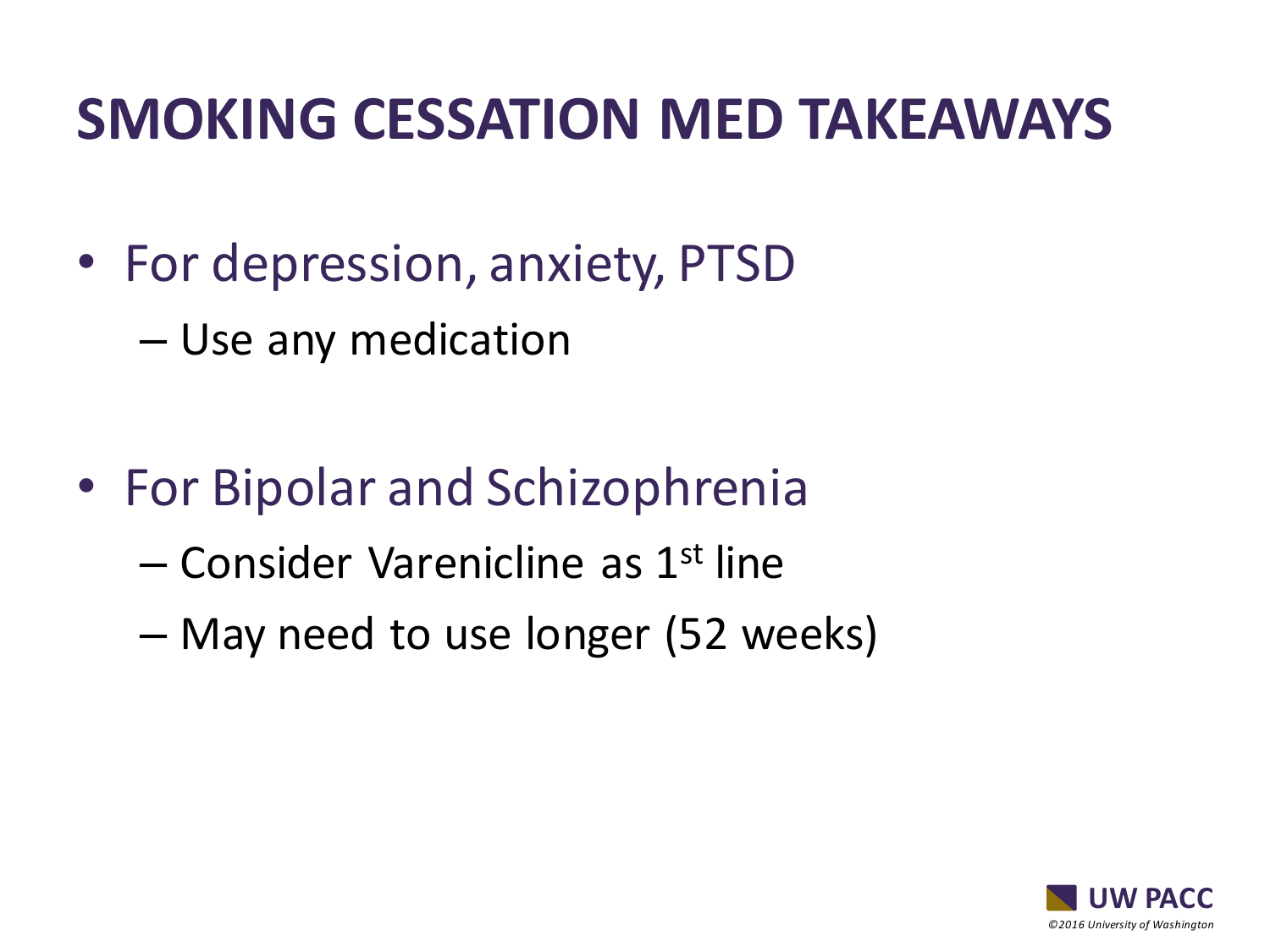## **SMOKING CESSATION MED TAKEAWAYS**

- For depression, anxiety, PTSD
	- Use any medication

- For Bipolar and Schizophrenia
	- Consider Varenicline as 1st line
	- May need to use longer (52 weeks)

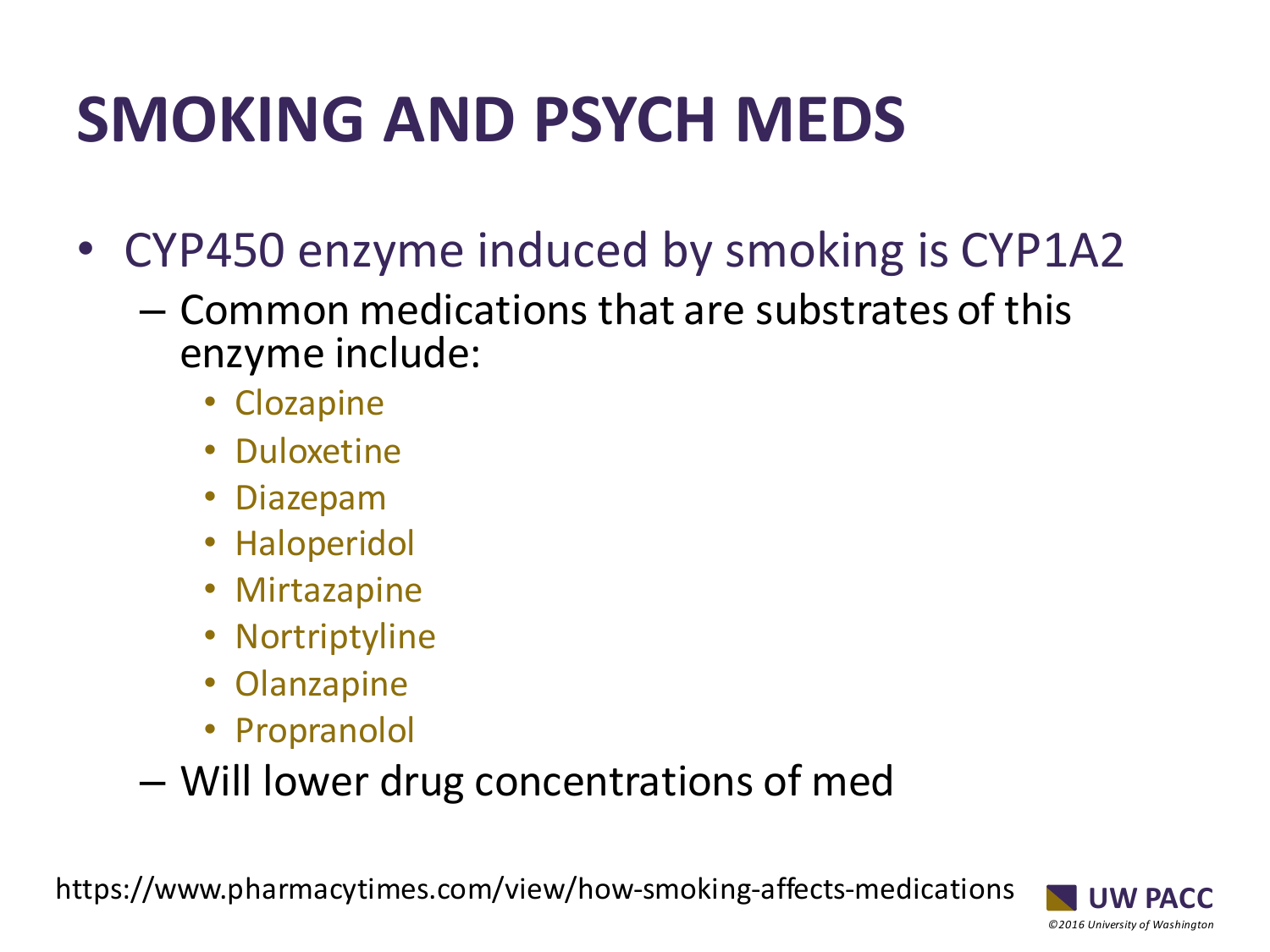# **SMOKING AND PSYCH MEDS**

- CYP450 enzyme induced by smoking is CYP1A2
	- Common medications that are substrates of this enzyme include:
		- Clozapine
		- Duloxetine
		- Diazepam
		- Haloperidol
		- Mirtazapine
		- Nortriptyline
		- Olanzapine
		- Propranolol
	- Will lower drug concentrations of med

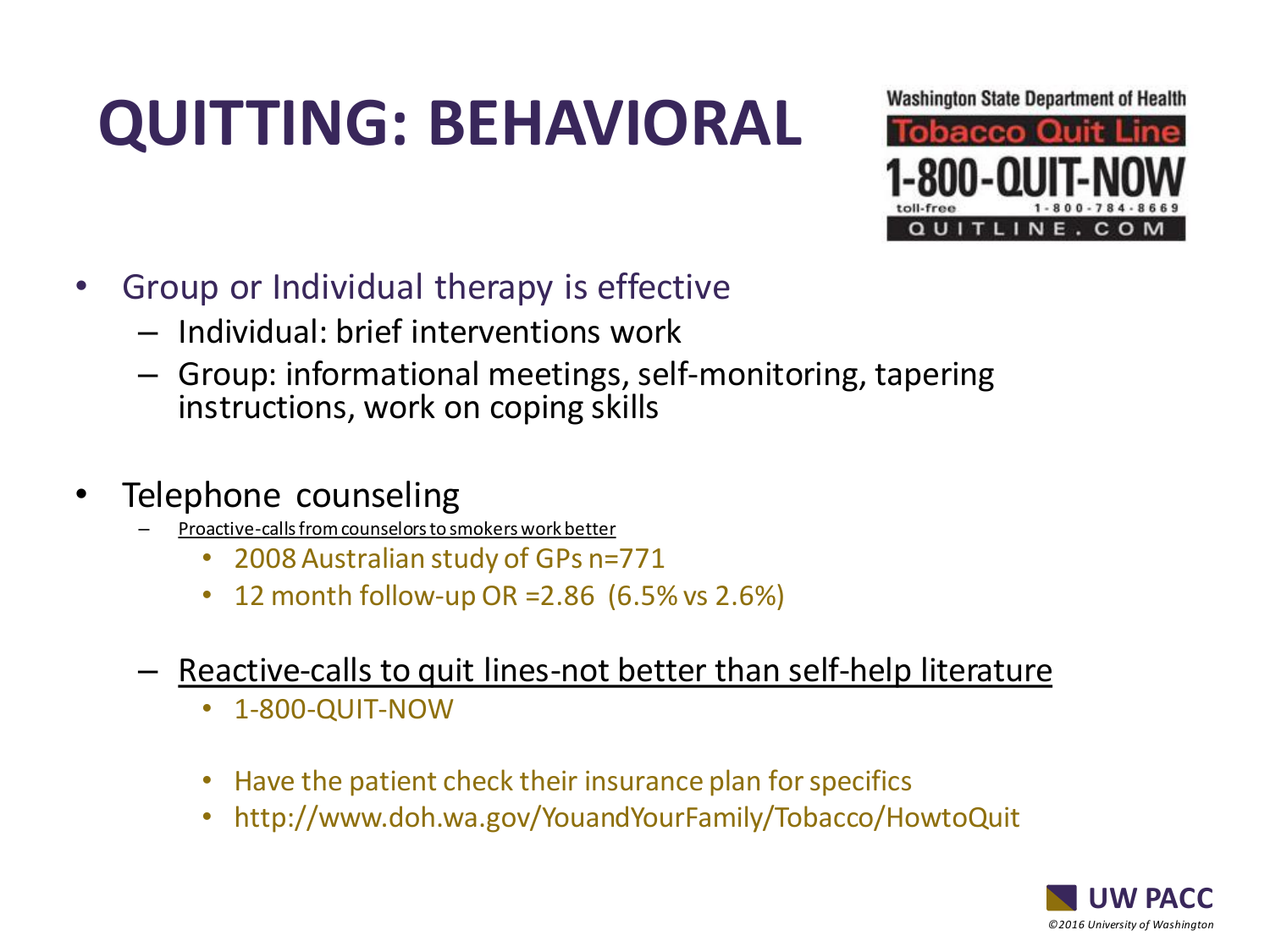# **QUITTING: BEHAVIORAL**



- Group or Individual therapy is effective
	- Individual: brief interventions work
	- Group: informational meetings, self-monitoring, tapering instructions, work on coping skills
- Telephone counseling
	- Proactive-calls from counselors to smokers work better
		- 2008 Australian study of GPs n=771
		- 12 month follow-up OR =  $2.86$  (6.5% vs  $2.6\%$ )
	- Reactive-calls to quit lines-not better than self-help literature
		- 1-800-QUIT-NOW
		- Have the patient check their insurance plan for specifics
		- http://www.doh.wa.gov/YouandYourFamily/Tobacco/HowtoQuit

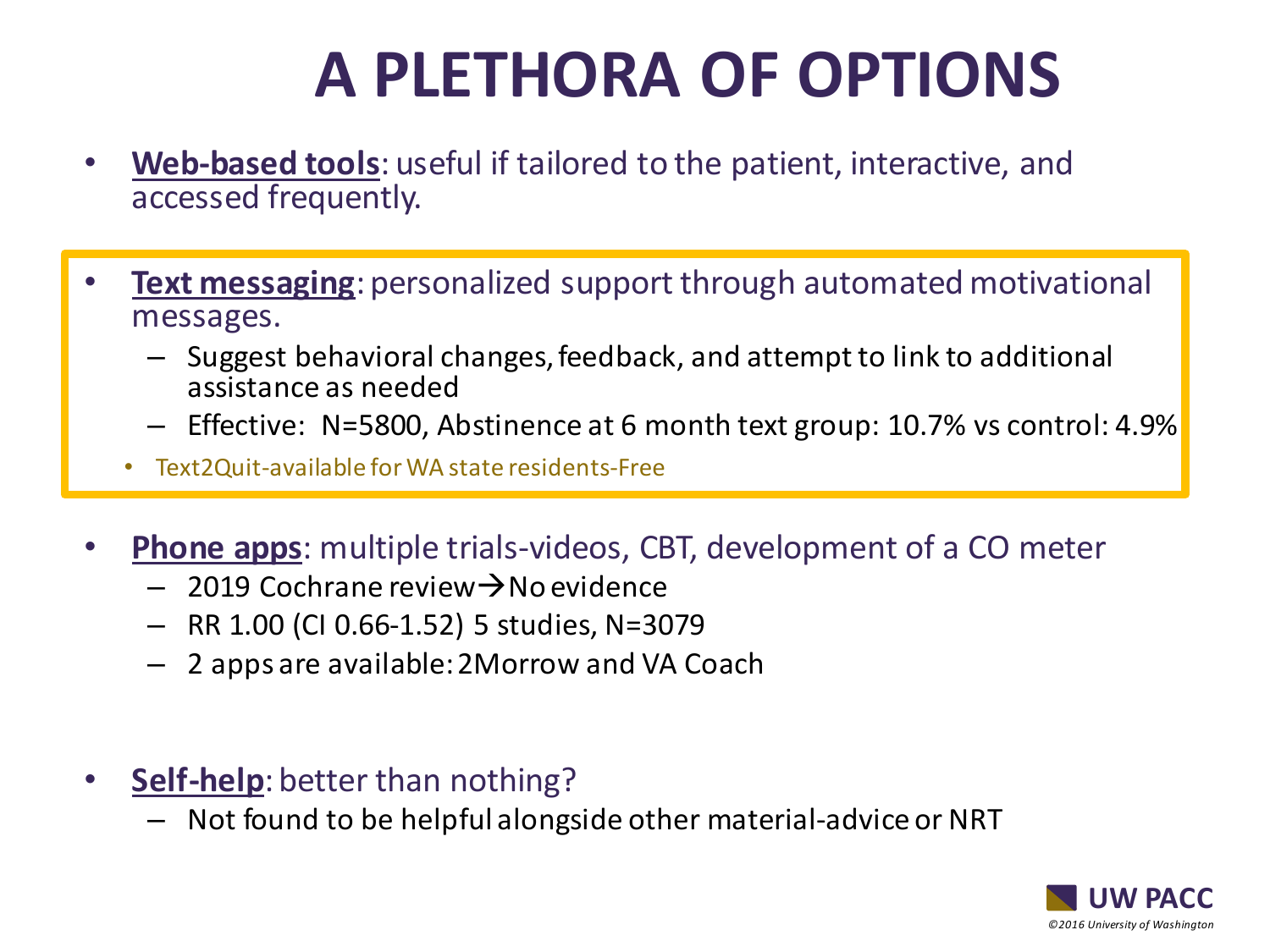# **A PLETHORA OF OPTIONS**

- **Web-based tools**: useful if tailored to the patient, interactive, and accessed frequently.
- **Text messaging**: personalized support through automated motivational messages.
	- Suggest behavioral changes, feedback, and attempt to link to additional assistance as needed
	- Effective: N=5800, Abstinence at 6 month text group: 10.7% vs control: 4.9%
	- Text2Quit-available for WA state residents-Free
- **Phone apps**: multiple trials-videos, CBT, development of a CO meter
	- 2019 Cochrane review→No evidence
	- RR 1.00 (CI 0.66-1.52) 5 studies, N=3079
	- 2 apps are available: 2Morrow and VA Coach
- **Self-help**: better than nothing?
	- Not found to be helpful alongside other material-advice or NRT

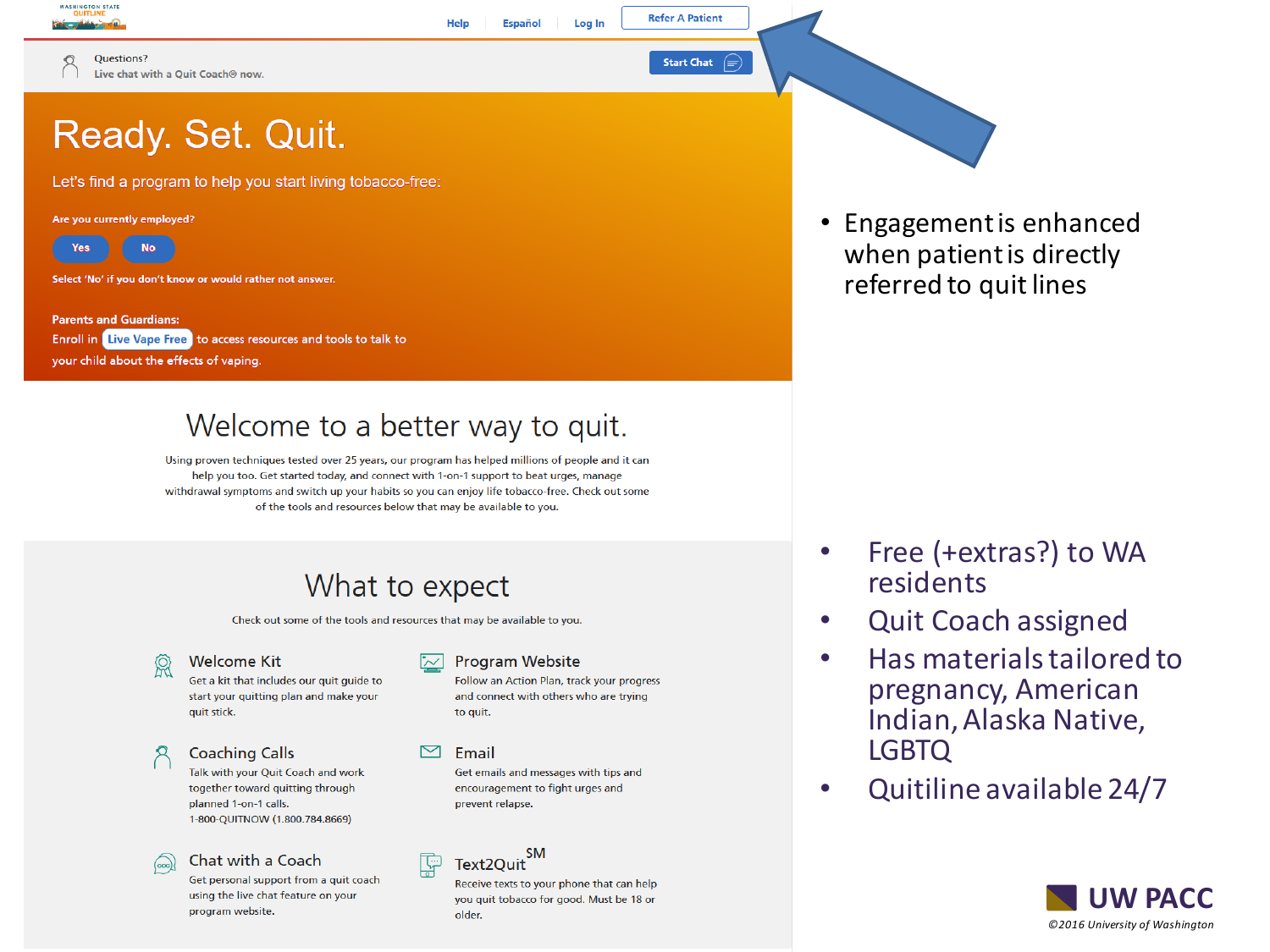

∩

Questions? Live chat with a Ouit Coach® now.

## Ready. Set. Quit.

Let's find a program to help you start living tobacco-free:

#### Are you currently employed?



Select 'No' if you don't know or would rather not answer.

**Parents and Guardians: Enroll in Live Vape Free** to access resources and tools to talk to your child about the effects of vaping.

### Welcome to a better way to quit.

Help

**Español** 

Log In

Using proven techniques tested over 25 years, our program has helped millions of people and it can help you too. Get started today, and connect with 1-on-1 support to beat urges, manage withdrawal symptoms and switch up your habits so you can enjoy life tobacco-free. Check out some of the tools and resources below that may be available to you.

### What to expect

Check out some of the tools and resources that may be available to you.

ଭି

### **Welcome Kit**

Get a kit that includes our quit guide to start your quitting plan and make your auit stick.

### **Coaching Calls**

Talk with your Quit Coach and work together toward quitting through planned 1-on-1 calls. 1-800-OUITNOW (1.800.784.8669)

### Chat with a Coach

Get personal support from a quit coach using the live chat feature on your program website.

### **Program Website**

Follow an Action Plan, track your progress and connect with others who are trying to quit.

**Refer A Patient** 

**Start Chat** 

 $\bigoplus$ 

#### Email

Get emails and messages with tips and encouragement to fight urges and prevent relapse.

**SM** Text2Ouit

Receive texts to your phone that can help you quit tobacco for good. Must be 18 or older.

• Engagement is enhanced when patient is directly referred to quit lines

- Free (+extras?) to WA residents
- Quit Coach assigned
- Has materials tailored to pregnancy, American Indian, Alaska Native, LGBTQ
- Quitiline available 24/7

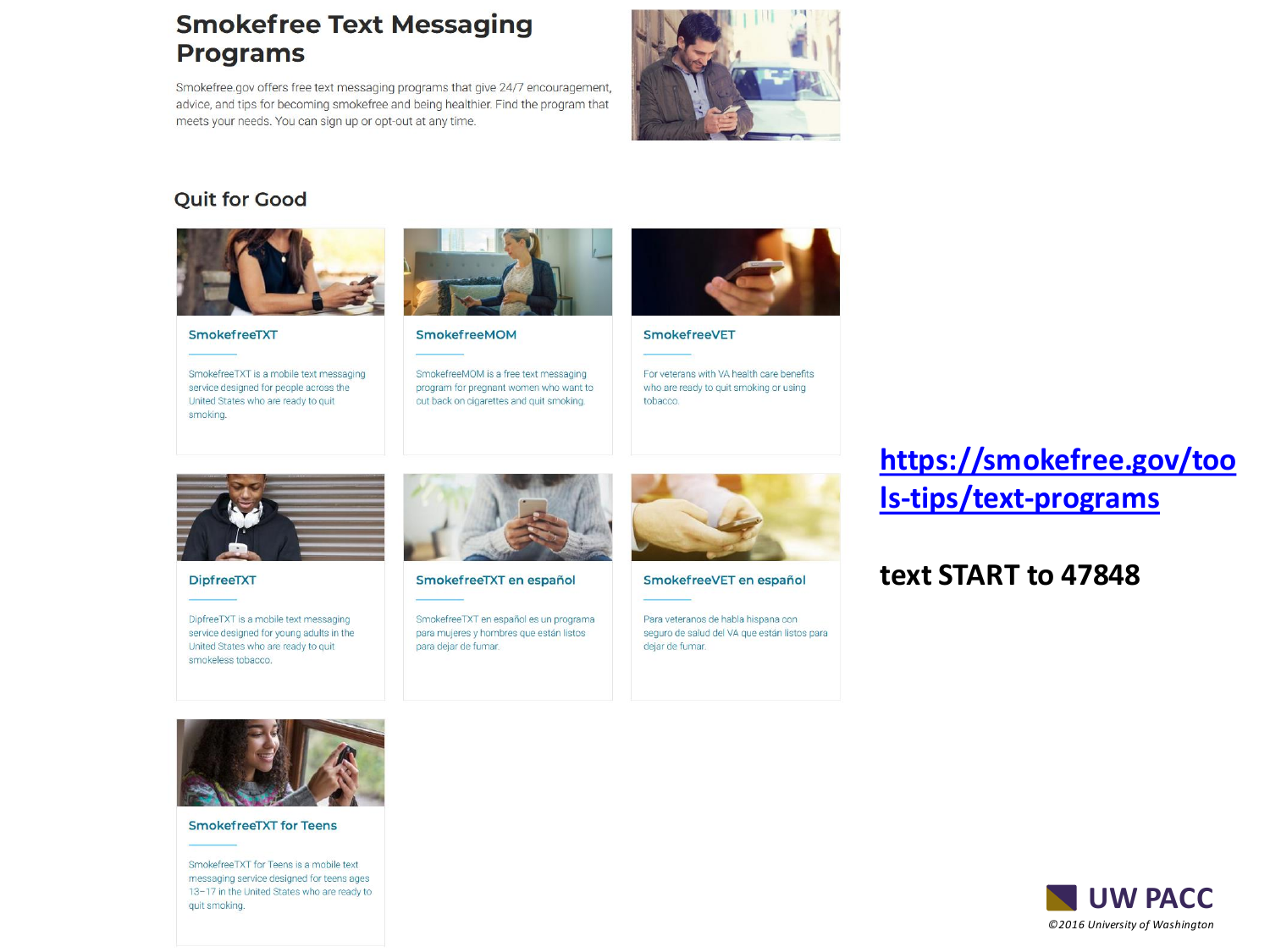### **Smokefree Text Messaging Programs**

Smokefree.gov offers free text messaging programs that give 24/7 encouragement, advice, and tips for becoming smokefree and being healthier. Find the program that meets your needs. You can sign up or opt-out at any time.



### **Quit for Good**



#### SmokefreeTXT

SmokefreeTXT is a mobile text messaging service designed for people across the United States who are ready to quit smoking.



#### SmokefreeMOM

SmokefreeMOM is a free text messaging program for pregnant women who want to cut back on cigarettes and quit smoking.



#### SmokefreeVET

For veterans with VA health care benefits who are ready to quit smoking or using tobacco.



**DipfreeTXT** 

DipfreeTXT is a mobile text messaging service designed for young adults in the United States who are ready to quit smokeless tobacco.



SmokefreeTXT en español

SmokefreeTXT en español es un programa para mujeres y hombres que están listos para dejar de fumar.



SmokefreeVET en español

Para veteranos de habla hispana con seguro de salud del VA que están listos para dejar de fumar.

### **[https://smokefree.gov/too](https://smokefree.gov/tools-tips/text-programs) ls-tips/text-programs**

### **text START to 47848**



#### **SmokefreeTXT for Teens**

SmokefreeTXT for Teens is a mobile text messaging service designed for teens ages 13-17 in the United States who are ready to quit smoking.

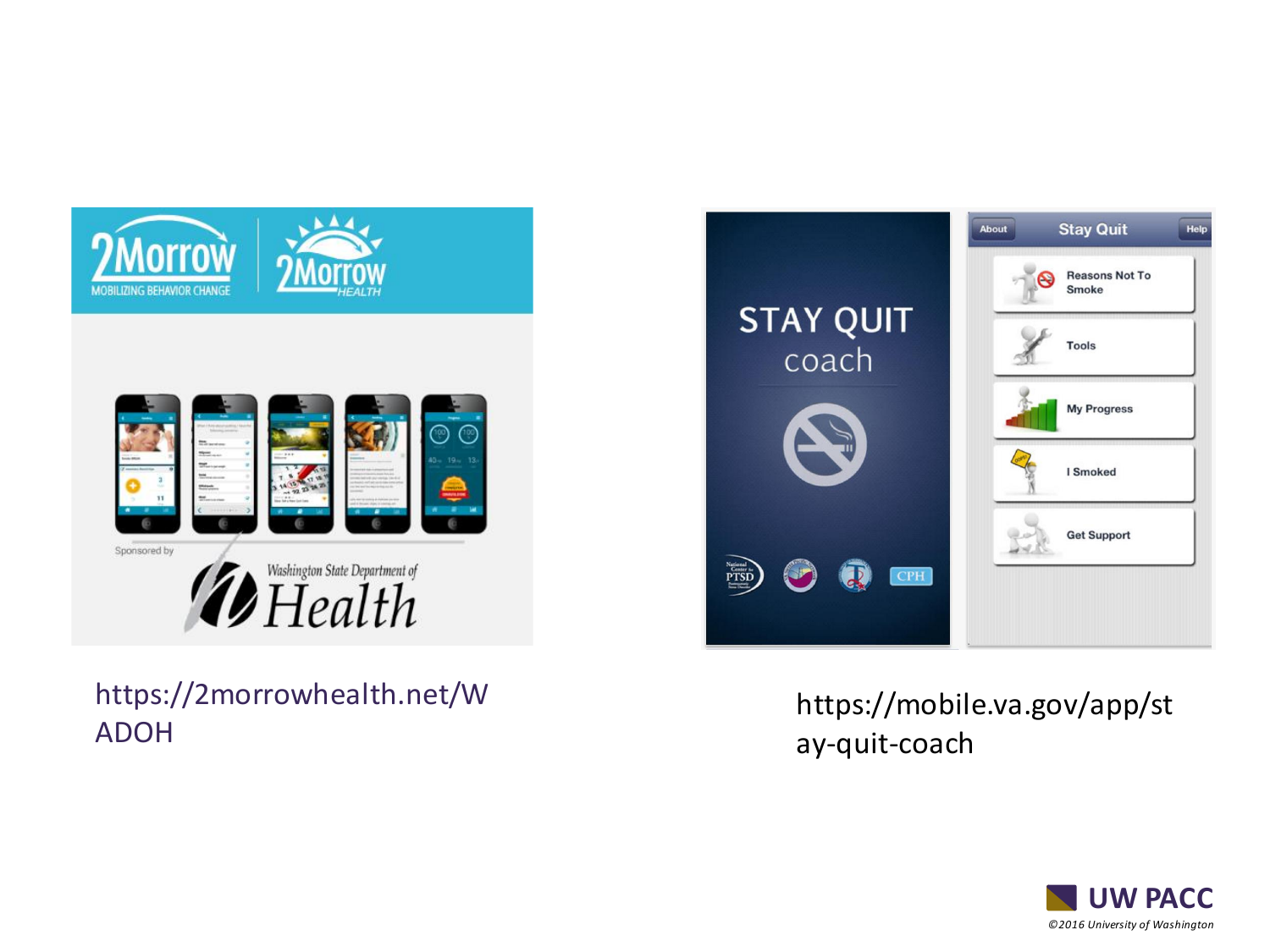

https://2morrowhealth.net/W ADOH



### https://mobile.va.gov/app/st ay-quit-coach

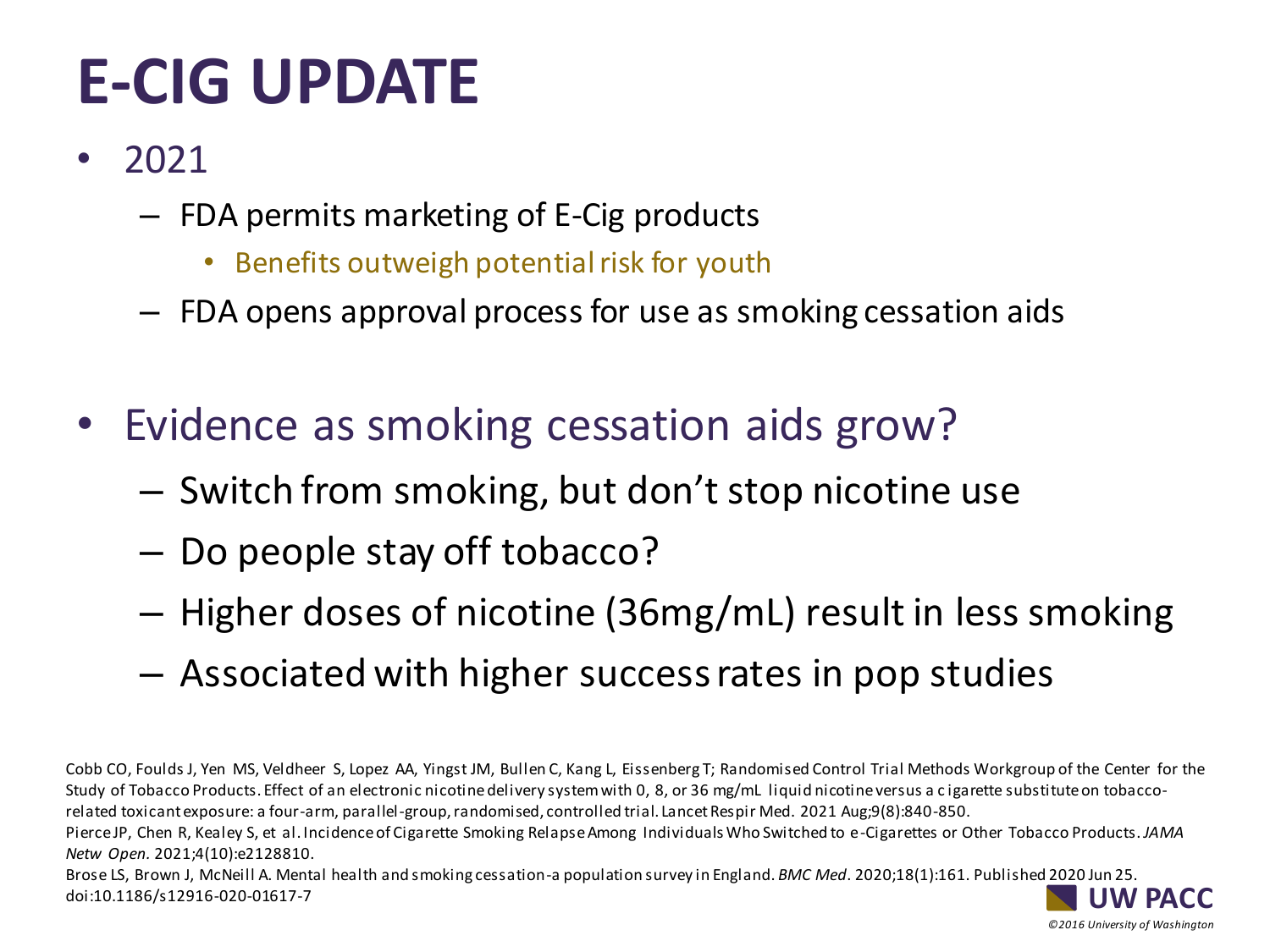# **E-CIG UPDATE**

- 2021
	- FDA permits marketing of E-Cig products
		- Benefits outweigh potential risk for youth
	- FDA opens approval process for use as smoking cessation aids
- Evidence as smoking cessation aids grow?
	- Switch from smoking, but don't stop nicotine use
	- Do people stay off tobacco?
	- Higher doses of nicotine (36mg/mL) result in less smoking
	- Associated with higher success rates in pop studies

Cobb CO, Foulds J, Yen MS, Veldheer S, Lopez AA, Yingst JM, Bullen C, Kang L, Eissenberg T; Randomised Control Trial Methods Workgroup of the Center for the Study of Tobacco Products. Effect of an electronic nicotine delivery system with 0, 8, or 36 mg/mL liquid nicotine versus a c igarette substitute on tobaccorelated toxicant exposure: a four-arm, parallel-group, randomised, controlled trial. Lancet Respir Med. 2021 Aug;9(8):840-850.

Pierce JP, Chen R, Kealey S, et al. Incidence of Cigarette Smoking Relapse Among Individuals Who Switched to e-Cigarettes or Other Tobacco Products. *JAMA Netw Open.* 2021;4(10):e2128810.

*©2016 University of Washington*

**W PACC** Brose LS, Brown J, McNeill A. Mental health and smoking cessation-a population survey in England. *BMC Med*. 2020;18(1):161. Published 2020 Jun 25. doi:10.1186/s12916-020-01617-7